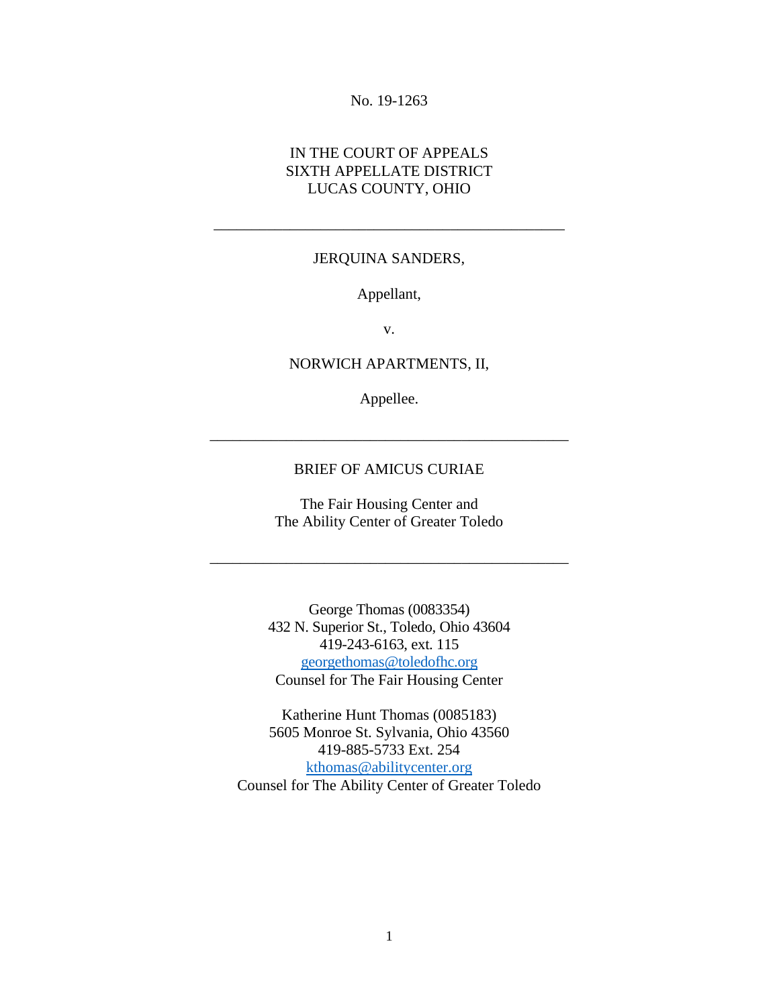#### No. 19-1263

### IN THE COURT OF APPEALS SIXTH APPELLATE DISTRICT LUCAS COUNTY, OHIO

#### JERQUINA SANDERS,

\_\_\_\_\_\_\_\_\_\_\_\_\_\_\_\_\_\_\_\_\_\_\_\_\_\_\_\_\_\_\_\_\_\_\_\_\_\_\_\_\_\_\_\_\_\_

### Appellant,

v.

#### NORWICH APARTMENTS, II,

Appellee.

#### BRIEF OF AMICUS CURIAE

\_\_\_\_\_\_\_\_\_\_\_\_\_\_\_\_\_\_\_\_\_\_\_\_\_\_\_\_\_\_\_\_\_\_\_\_\_\_\_\_\_\_\_\_\_\_\_

The Fair Housing Center and The Ability Center of Greater Toledo

\_\_\_\_\_\_\_\_\_\_\_\_\_\_\_\_\_\_\_\_\_\_\_\_\_\_\_\_\_\_\_\_\_\_\_\_\_\_\_\_\_\_\_\_\_\_\_

George Thomas (0083354) 432 N. Superior St., Toledo, Ohio 43604 419-243-6163, ext. 115 [georgethomas@toledofhc.org](mailto:georgethomas@toledofhc.org) Counsel for The Fair Housing Center

Katherine Hunt Thomas (0085183) 5605 Monroe St. Sylvania, Ohio 43560 419-885-5733 Ext. 254 [kthomas@abilitycenter.org](mailto:kthomas@abilitycenter.org) Counsel for The Ability Center of Greater Toledo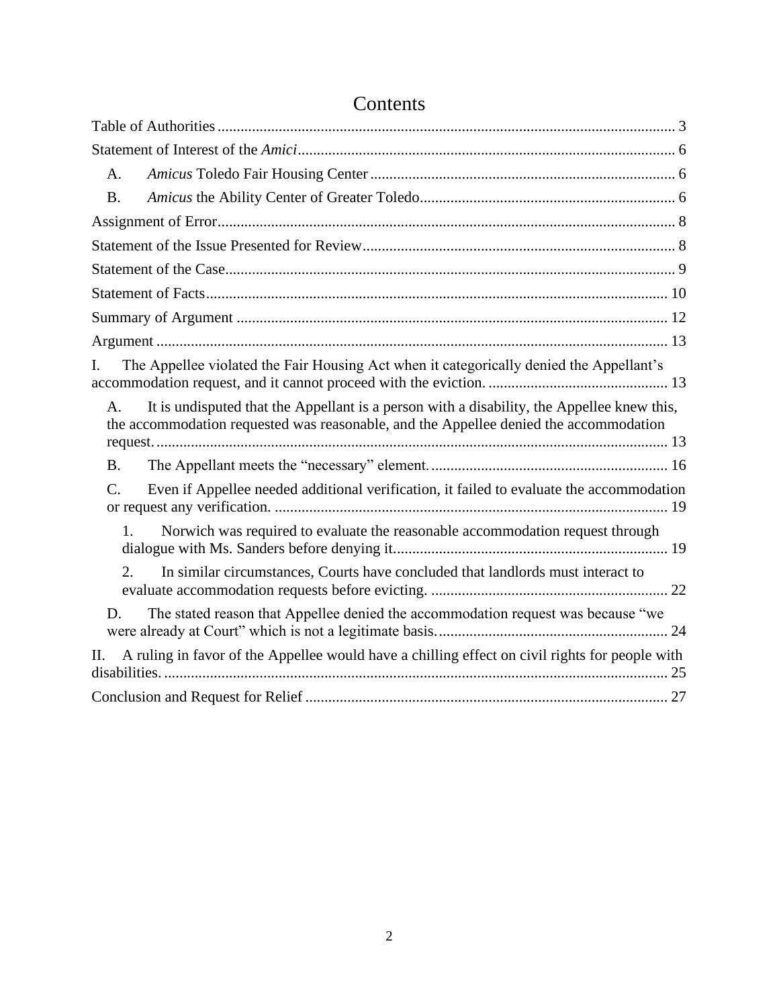| A.                                                                                                                                                                                        |
|-------------------------------------------------------------------------------------------------------------------------------------------------------------------------------------------|
| <b>B.</b>                                                                                                                                                                                 |
|                                                                                                                                                                                           |
|                                                                                                                                                                                           |
|                                                                                                                                                                                           |
|                                                                                                                                                                                           |
|                                                                                                                                                                                           |
|                                                                                                                                                                                           |
| The Appellee violated the Fair Housing Act when it categorically denied the Appellant's<br>I.                                                                                             |
| It is undisputed that the Appellant is a person with a disability, the Appellee knew this,<br>A.<br>the accommodation requested was reasonable, and the Appellee denied the accommodation |
| <b>B.</b>                                                                                                                                                                                 |
| Even if Appellee needed additional verification, it failed to evaluate the accommodation<br>$\mathcal{C}$ .                                                                               |
| 1.<br>Norwich was required to evaluate the reasonable accommodation request through                                                                                                       |
| In similar circumstances, Courts have concluded that landlords must interact to<br>2.                                                                                                     |
| The stated reason that Appellee denied the accommodation request was because "we<br>D.                                                                                                    |
| A ruling in favor of the Appellee would have a chilling effect on civil rights for people with<br>П.                                                                                      |
|                                                                                                                                                                                           |

# Contents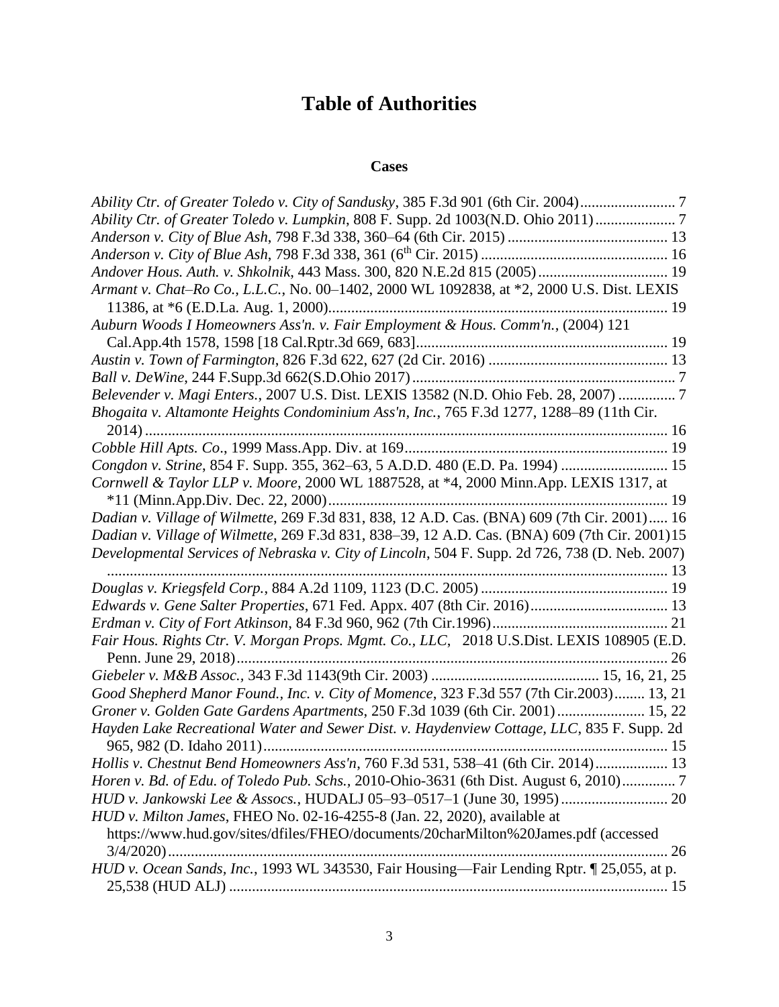# **Table of Authorities**

### **Cases**

<span id="page-2-0"></span>

| Ability Ctr. of Greater Toledo v. City of Sandusky, 385 F.3d 901 (6th Cir. 2004)               |
|------------------------------------------------------------------------------------------------|
| Ability Ctr. of Greater Toledo v. Lumpkin, 808 F. Supp. 2d 1003(N.D. Ohio 2011)                |
|                                                                                                |
|                                                                                                |
| Andover Hous. Auth. v. Shkolnik, 443 Mass. 300, 820 N.E.2d 815 (2005) 19                       |
| Armant v. Chat-Ro Co., L.L.C., No. 00-1402, 2000 WL 1092838, at *2, 2000 U.S. Dist. LEXIS      |
|                                                                                                |
| Auburn Woods I Homeowners Ass'n. v. Fair Employment & Hous. Comm'n., (2004) 121                |
|                                                                                                |
|                                                                                                |
|                                                                                                |
| Belevender v. Magi Enters., 2007 U.S. Dist. LEXIS 13582 (N.D. Ohio Feb. 28, 2007)  7           |
| Bhogaita v. Altamonte Heights Condominium Ass'n, Inc., 765 F.3d 1277, 1288-89 (11th Cir.       |
|                                                                                                |
|                                                                                                |
| Congdon v. Strine, 854 F. Supp. 355, 362-63, 5 A.D.D. 480 (E.D. Pa. 1994)  15                  |
| Cornwell & Taylor LLP v. Moore, 2000 WL 1887528, at *4, 2000 Minn.App. LEXIS 1317, at          |
|                                                                                                |
| Dadian v. Village of Wilmette, 269 F.3d 831, 838, 12 A.D. Cas. (BNA) 609 (7th Cir. 2001) 16    |
| Dadian v. Village of Wilmette, 269 F.3d 831, 838-39, 12 A.D. Cas. (BNA) 609 (7th Cir. 2001)15  |
| Developmental Services of Nebraska v. City of Lincoln, 504 F. Supp. 2d 726, 738 (D. Neb. 2007) |
|                                                                                                |
|                                                                                                |
|                                                                                                |
|                                                                                                |
| Fair Hous. Rights Ctr. V. Morgan Props. Mgmt. Co., LLC, 2018 U.S.Dist. LEXIS 108905 (E.D.      |
|                                                                                                |
|                                                                                                |
| Good Shepherd Manor Found., Inc. v. City of Momence, 323 F.3d 557 (7th Cir.2003) 13, 21        |
| Groner v. Golden Gate Gardens Apartments, 250 F.3d 1039 (6th Cir. 2001) 15, 22                 |
| Hayden Lake Recreational Water and Sewer Dist. v. Haydenview Cottage, LLC, 835 F. Supp. 2d     |
|                                                                                                |
| Hollis v. Chestnut Bend Homeowners Ass'n, 760 F.3d 531, 538-41 (6th Cir. 2014) 13              |
| Horen v. Bd. of Edu. of Toledo Pub. Schs., 2010-Ohio-3631 (6th Dist. August 6, 2010)7          |
|                                                                                                |
| HUD v. Milton James, FHEO No. 02-16-4255-8 (Jan. 22, 2020), available at                       |
| https://www.hud.gov/sites/dfiles/FHEO/documents/20charMilton%20James.pdf (accessed             |
|                                                                                                |
|                                                                                                |
| HUD v. Ocean Sands, Inc., 1993 WL 343530, Fair Housing-Fair Lending Rptr. 1 25,055, at p.      |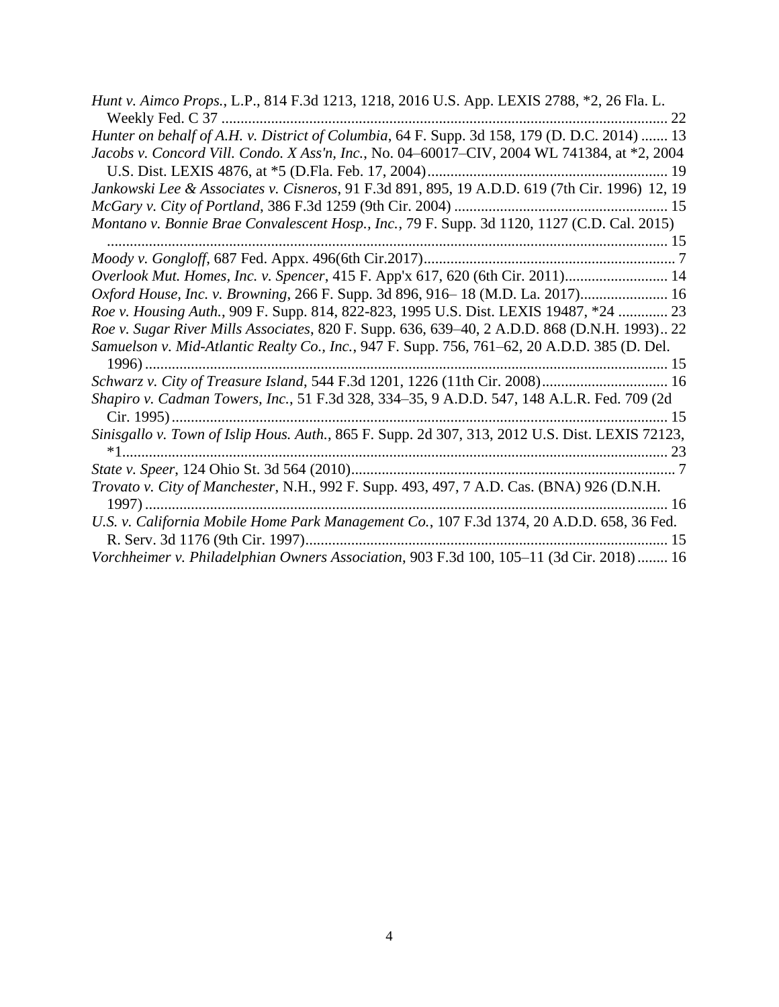| <i>Hunt v. Aimco Props., L.P., 814 F.3d 1213, 1218, 2016 U.S. App. LEXIS 2788, *2, 26 Fla. L.</i> |
|---------------------------------------------------------------------------------------------------|
| 22                                                                                                |
| Hunter on behalf of A.H. v. District of Columbia, 64 F. Supp. 3d 158, 179 (D. D.C. 2014)  13      |
| Jacobs v. Concord Vill. Condo. X Ass'n, Inc., No. 04-60017-CIV, 2004 WL 741384, at *2, 2004       |
|                                                                                                   |
| Jankowski Lee & Associates v. Cisneros, 91 F.3d 891, 895, 19 A.D.D. 619 (7th Cir. 1996) 12, 19    |
|                                                                                                   |
| Montano v. Bonnie Brae Convalescent Hosp., Inc., 79 F. Supp. 3d 1120, 1127 (C.D. Cal. 2015)       |
|                                                                                                   |
|                                                                                                   |
| Overlook Mut. Homes, Inc. v. Spencer, 415 F. App'x 617, 620 (6th Cir. 2011) 14                    |
| Oxford House, Inc. v. Browning, 266 F. Supp. 3d 896, 916-18 (M.D. La. 2017) 16                    |
| Roe v. Housing Auth., 909 F. Supp. 814, 822-823, 1995 U.S. Dist. LEXIS 19487, *24  23             |
| Roe v. Sugar River Mills Associates, 820 F. Supp. 636, 639–40, 2 A.D.D. 868 (D.N.H. 1993) 22      |
| Samuelson v. Mid-Atlantic Realty Co., Inc., 947 F. Supp. 756, 761–62, 20 A.D.D. 385 (D. Del.      |
|                                                                                                   |
| Schwarz v. City of Treasure Island, 544 F.3d 1201, 1226 (11th Cir. 2008) 16                       |
| Shapiro v. Cadman Towers, Inc., 51 F.3d 328, 334-35, 9 A.D.D. 547, 148 A.L.R. Fed. 709 (2d        |
|                                                                                                   |
| Sinisgallo v. Town of Islip Hous. Auth., 865 F. Supp. 2d 307, 313, 2012 U.S. Dist. LEXIS 72123,   |
|                                                                                                   |
|                                                                                                   |
| Trovato v. City of Manchester, N.H., 992 F. Supp. 493, 497, 7 A.D. Cas. (BNA) 926 (D.N.H.         |
|                                                                                                   |
| U.S. v. California Mobile Home Park Management Co., 107 F.3d 1374, 20 A.D.D. 658, 36 Fed.         |
|                                                                                                   |
| Vorchheimer v. Philadelphian Owners Association, 903 F.3d 100, 105-11 (3d Cir. 2018) 16           |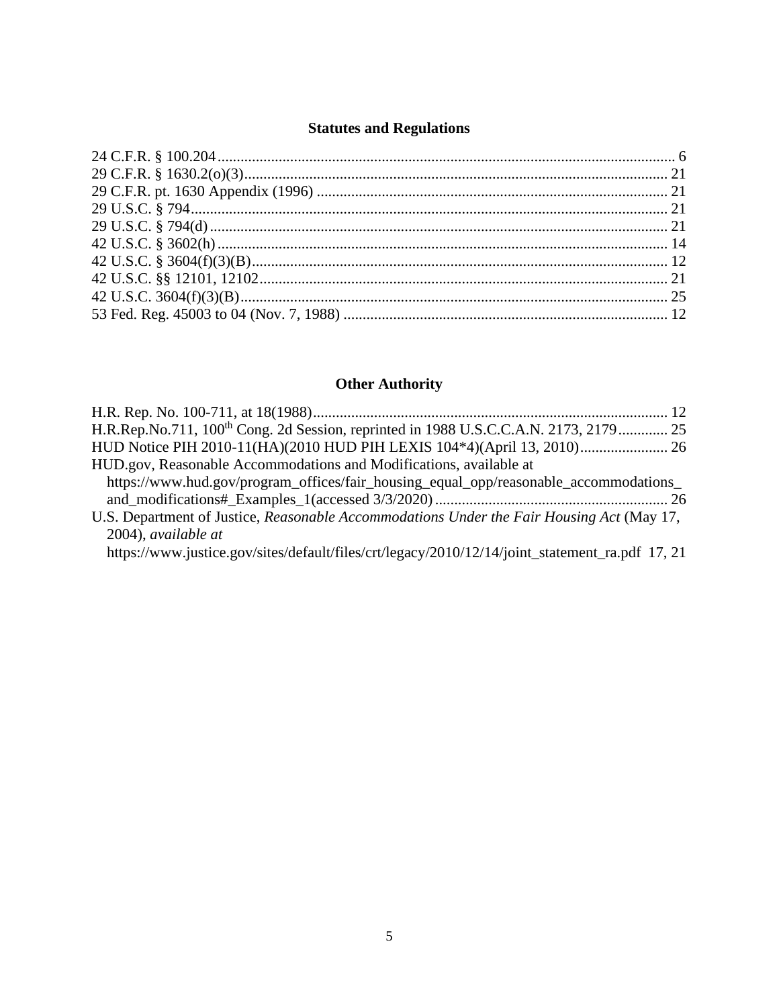# **Statutes and Regulations**

# **Other Authority**

| H.R.Rep.No.711, 100 <sup>th</sup> Cong. 2d Session, reprinted in 1988 U.S.C.C.A.N. 2173, 2179 25 |  |
|--------------------------------------------------------------------------------------------------|--|
| HUD Notice PIH 2010-11(HA)(2010 HUD PIH LEXIS 104*4)(April 13, 2010) 26                          |  |
| HUD.gov, Reasonable Accommodations and Modifications, available at                               |  |
| https://www.hud.gov/program_offices/fair_housing_equal_opp/reasonable_accommodations_            |  |
|                                                                                                  |  |
| U.S. Department of Justice, Reasonable Accommodations Under the Fair Housing Act (May 17,        |  |
| 2004), available at                                                                              |  |
| https://www.justice.gov/sites/default/files/crt/legacy/2010/12/14/joint_statement_ra.pdf 17, 21  |  |
|                                                                                                  |  |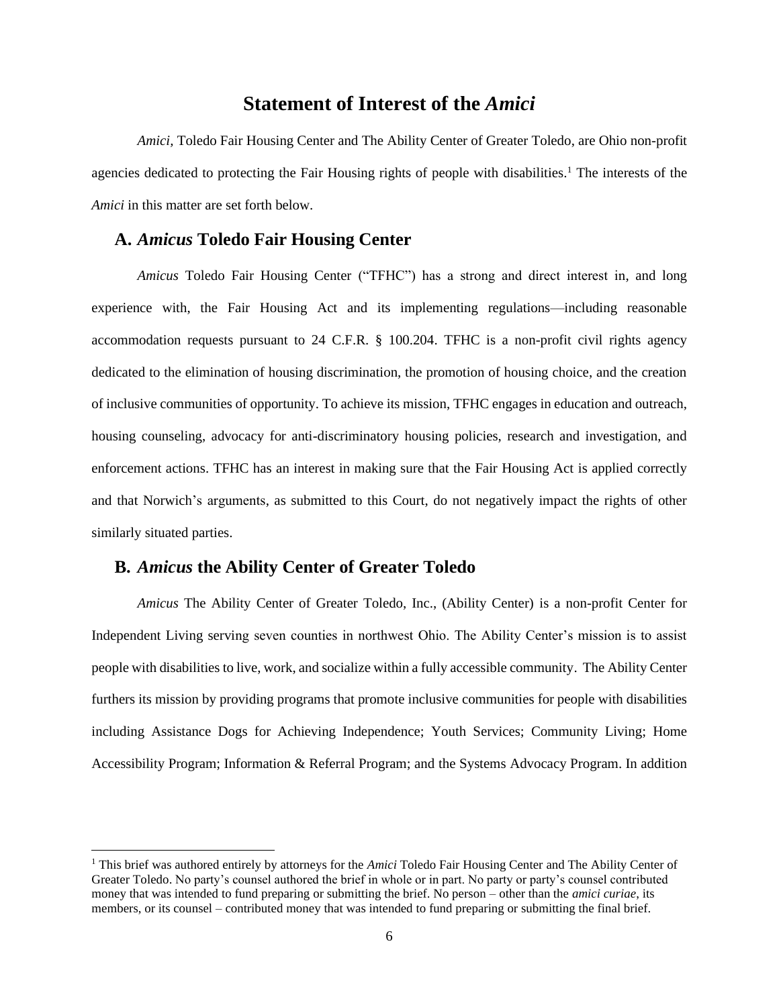### **Statement of Interest of the** *Amici*

<span id="page-5-0"></span>*Amici,* Toledo Fair Housing Center and The Ability Center of Greater Toledo, are Ohio non-profit agencies dedicated to protecting the Fair Housing rights of people with disabilities.<sup>1</sup> The interests of the *Amici* in this matter are set forth below.

#### <span id="page-5-1"></span>**A.** *Amicus* **Toledo Fair Housing Center**

*Amicus* Toledo Fair Housing Center ("TFHC") has a strong and direct interest in, and long experience with, the Fair Housing Act and its implementing regulations—including reasonable accommodation requests pursuant to 24 C.F.R. § 100.204. TFHC is a non-profit civil rights agency dedicated to the elimination of housing discrimination, the promotion of housing choice, and the creation of inclusive communities of opportunity. To achieve its mission, TFHC engages in education and outreach, housing counseling, advocacy for anti-discriminatory housing policies, research and investigation, and enforcement actions. TFHC has an interest in making sure that the Fair Housing Act is applied correctly and that Norwich's arguments, as submitted to this Court, do not negatively impact the rights of other similarly situated parties.

#### <span id="page-5-2"></span>**B.** *Amicus* **the Ability Center of Greater Toledo**

*Amicus* The Ability Center of Greater Toledo, Inc., (Ability Center) is a non-profit Center for Independent Living serving seven counties in northwest Ohio. The Ability Center's mission is to assist people with disabilities to live, work, and socialize within a fully accessible community. The Ability Center furthers its mission by providing programs that promote inclusive communities for people with disabilities including Assistance Dogs for Achieving Independence; Youth Services; Community Living; Home Accessibility Program; Information & Referral Program; and the Systems Advocacy Program. In addition

<sup>1</sup> This brief was authored entirely by attorneys for the *Amici* Toledo Fair Housing Center and The Ability Center of Greater Toledo. No party's counsel authored the brief in whole or in part. No party or party's counsel contributed money that was intended to fund preparing or submitting the brief. No person – other than the *amici curiae*, its members, or its counsel – contributed money that was intended to fund preparing or submitting the final brief.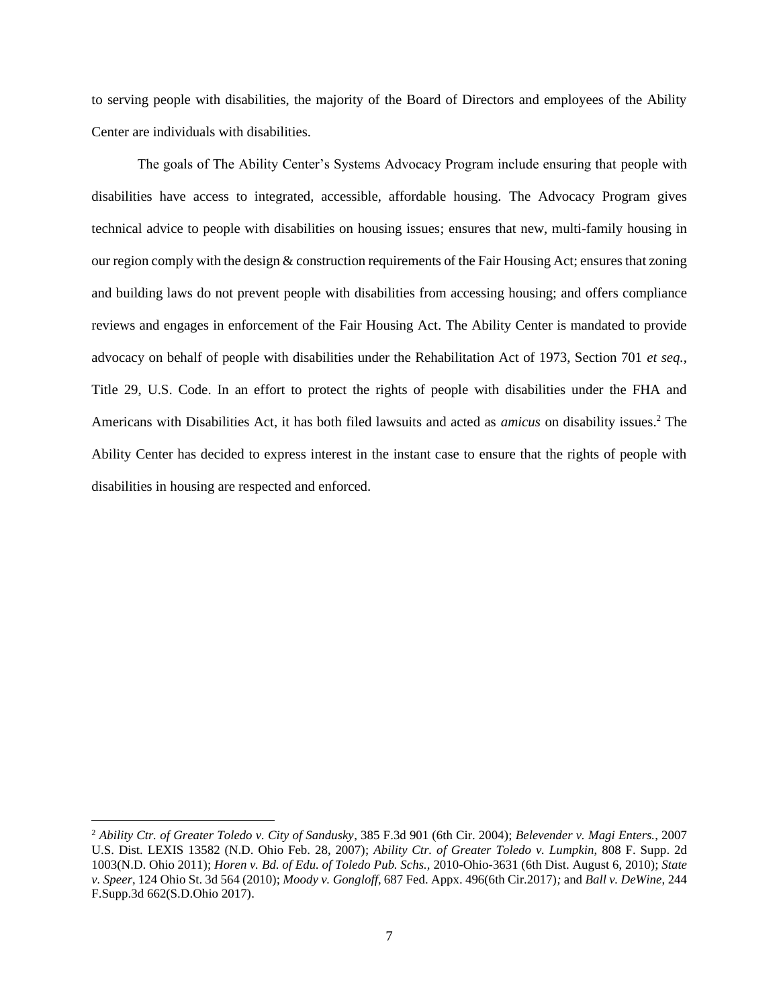to serving people with disabilities, the majority of the Board of Directors and employees of the Ability Center are individuals with disabilities.

The goals of The Ability Center's Systems Advocacy Program include ensuring that people with disabilities have access to integrated, accessible, affordable housing. The Advocacy Program gives technical advice to people with disabilities on housing issues; ensures that new, multi-family housing in our region comply with the design & construction requirements of the Fair Housing Act; ensures that zoning and building laws do not prevent people with disabilities from accessing housing; and offers compliance reviews and engages in enforcement of the Fair Housing Act. The Ability Center is mandated to provide advocacy on behalf of people with disabilities under the Rehabilitation Act of 1973, Section 701 *et seq.*, Title 29, U.S. Code. In an effort to protect the rights of people with disabilities under the FHA and Americans with Disabilities Act, it has both filed lawsuits and acted as *amicus* on disability issues. <sup>2</sup> The Ability Center has decided to express interest in the instant case to ensure that the rights of people with disabilities in housing are respected and enforced.

<sup>2</sup> *Ability Ctr. of Greater Toledo v. City of Sandusky*, 385 F.3d 901 (6th Cir. 2004); *Belevender v. Magi Enters.*, 2007 U.S. Dist. LEXIS 13582 (N.D. Ohio Feb. 28, 2007); *Ability Ctr. of Greater Toledo v. Lumpkin*, 808 F. Supp. 2d 1003(N.D. Ohio 2011); *Horen v. Bd. of Edu. of Toledo Pub. Schs.,* 2010-Ohio-3631 (6th Dist. August 6, 2010); *State v. Speer*, 124 Ohio St. 3d 564 (2010); *Moody v. Gongloff*, 687 Fed. Appx. 496(6th Cir.2017)*;* and *Ball v. DeWine*, 244 F.Supp.3d 662(S.D.Ohio 2017).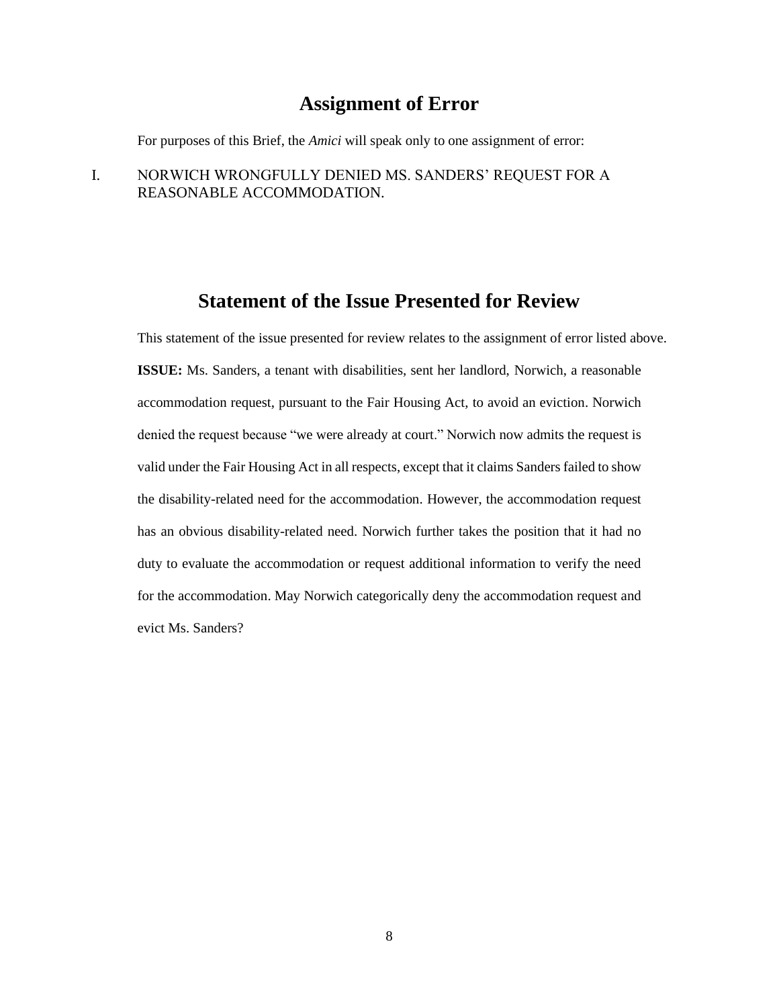# **Assignment of Error**

<span id="page-7-0"></span>For purposes of this Brief, the *Amici* will speak only to one assignment of error:

I. NORWICH WRONGFULLY DENIED MS. SANDERS' REQUEST FOR A REASONABLE ACCOMMODATION.

# **Statement of the Issue Presented for Review**

<span id="page-7-1"></span>This statement of the issue presented for review relates to the assignment of error listed above. **ISSUE:** Ms. Sanders, a tenant with disabilities, sent her landlord, Norwich, a reasonable accommodation request, pursuant to the Fair Housing Act, to avoid an eviction. Norwich denied the request because "we were already at court." Norwich now admits the request is valid under the Fair Housing Act in all respects, except that it claims Sanders failed to show the disability-related need for the accommodation. However, the accommodation request has an obvious disability-related need. Norwich further takes the position that it had no duty to evaluate the accommodation or request additional information to verify the need for the accommodation. May Norwich categorically deny the accommodation request and evict Ms. Sanders?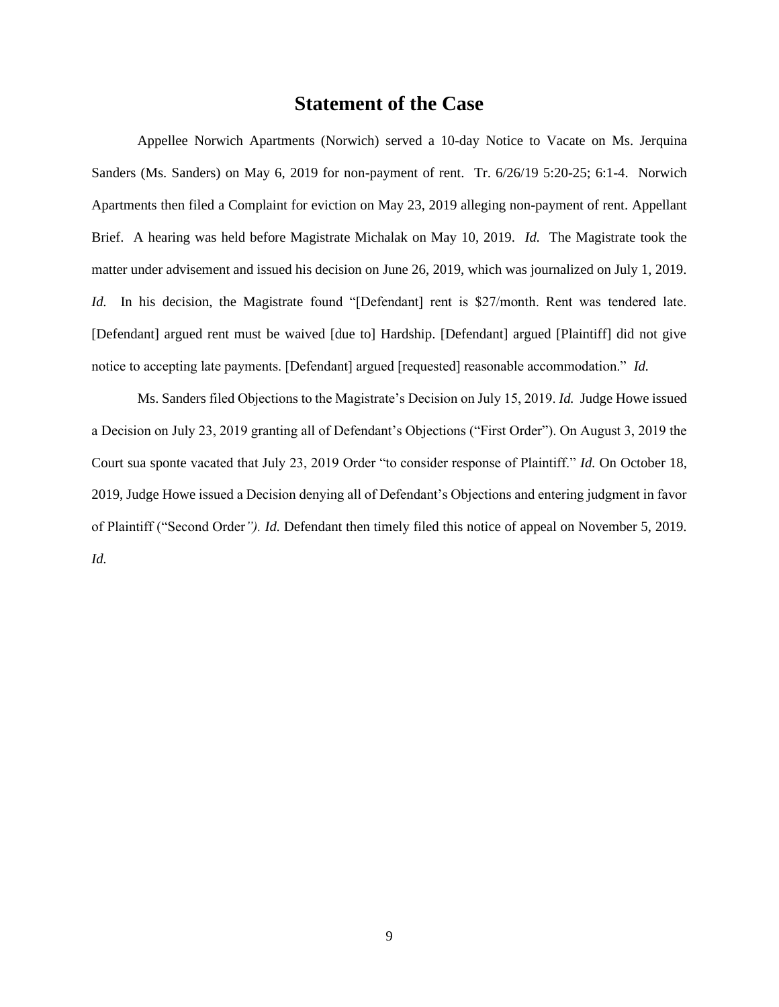# **Statement of the Case**

<span id="page-8-0"></span>Appellee Norwich Apartments (Norwich) served a 10-day Notice to Vacate on Ms. Jerquina Sanders (Ms. Sanders) on May 6, 2019 for non-payment of rent. Tr. 6/26/19 5:20-25; 6:1-4. Norwich Apartments then filed a Complaint for eviction on May 23, 2019 alleging non-payment of rent. Appellant Brief. A hearing was held before Magistrate Michalak on May 10, 2019. *Id.* The Magistrate took the matter under advisement and issued his decision on June 26, 2019, which was journalized on July 1, 2019. *Id.* In his decision, the Magistrate found "[Defendant] rent is \$27/month. Rent was tendered late. [Defendant] argued rent must be waived [due to] Hardship. [Defendant] argued [Plaintiff] did not give notice to accepting late payments. [Defendant] argued [requested] reasonable accommodation." *Id.*

Ms. Sanders filed Objections to the Magistrate's Decision on July 15, 2019. *Id.* Judge Howe issued a Decision on July 23, 2019 granting all of Defendant's Objections ("First Order"). On August 3, 2019 the Court sua sponte vacated that July 23, 2019 Order "to consider response of Plaintiff." *Id.* On October 18, 2019, Judge Howe issued a Decision denying all of Defendant's Objections and entering judgment in favor of Plaintiff ("Second Order*"). Id.* Defendant then timely filed this notice of appeal on November 5, 2019. *Id.*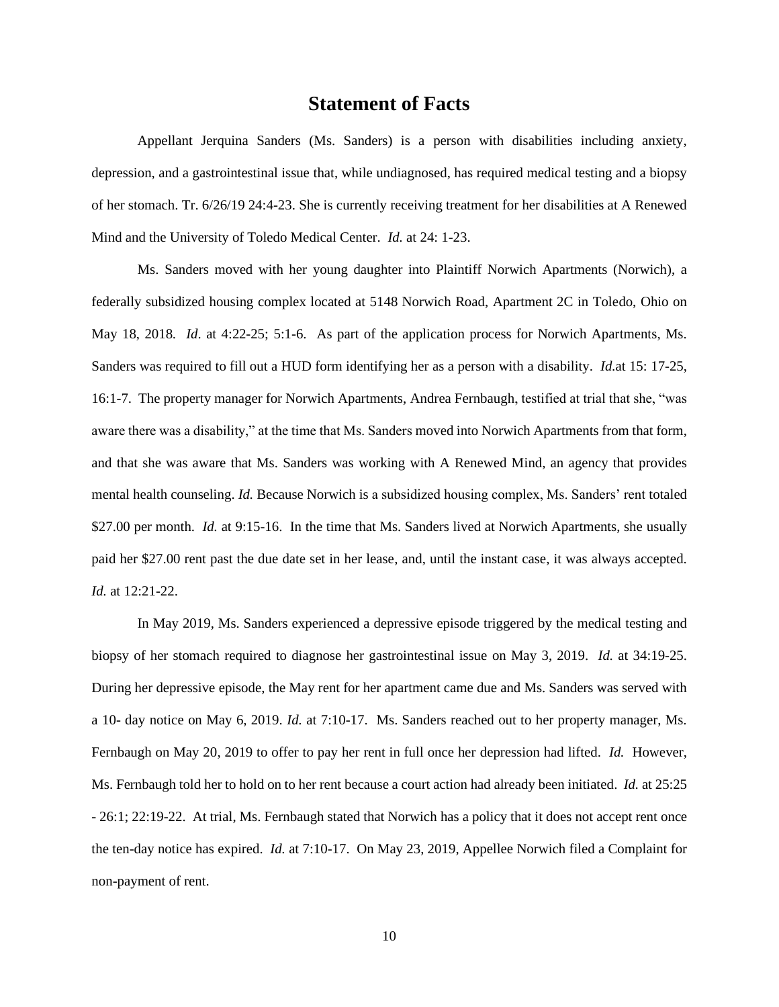# **Statement of Facts**

<span id="page-9-0"></span>Appellant Jerquina Sanders (Ms. Sanders) is a person with disabilities including anxiety, depression, and a gastrointestinal issue that, while undiagnosed, has required medical testing and a biopsy of her stomach. Tr. 6/26/19 24:4-23. She is currently receiving treatment for her disabilities at A Renewed Mind and the University of Toledo Medical Center. *Id.* at 24: 1-23.

Ms. Sanders moved with her young daughter into Plaintiff Norwich Apartments (Norwich), a federally subsidized housing complex located at 5148 Norwich Road, Apartment 2C in Toledo, Ohio on May 18, 2018*. Id*. at 4:22-25; 5:1-6. As part of the application process for Norwich Apartments, Ms. Sanders was required to fill out a HUD form identifying her as a person with a disability. *Id.*at 15: 17-25, 16:1-7. The property manager for Norwich Apartments, Andrea Fernbaugh, testified at trial that she, "was aware there was a disability," at the time that Ms. Sanders moved into Norwich Apartments from that form, and that she was aware that Ms. Sanders was working with A Renewed Mind, an agency that provides mental health counseling. *Id.* Because Norwich is a subsidized housing complex, Ms. Sanders' rent totaled \$27.00 per month. *Id.* at 9:15-16. In the time that Ms. Sanders lived at Norwich Apartments, she usually paid her \$27.00 rent past the due date set in her lease, and, until the instant case, it was always accepted. *Id.* at 12:21-22.

In May 2019, Ms. Sanders experienced a depressive episode triggered by the medical testing and biopsy of her stomach required to diagnose her gastrointestinal issue on May 3, 2019. *Id.* at 34:19-25. During her depressive episode, the May rent for her apartment came due and Ms. Sanders was served with a 10- day notice on May 6, 2019. *Id.* at 7:10-17. Ms. Sanders reached out to her property manager, Ms. Fernbaugh on May 20, 2019 to offer to pay her rent in full once her depression had lifted. *Id.* However, Ms. Fernbaugh told her to hold on to her rent because a court action had already been initiated. *Id.* at 25:25 - 26:1; 22:19-22. At trial, Ms. Fernbaugh stated that Norwich has a policy that it does not accept rent once the ten-day notice has expired. *Id.* at 7:10-17. On May 23, 2019, Appellee Norwich filed a Complaint for non-payment of rent.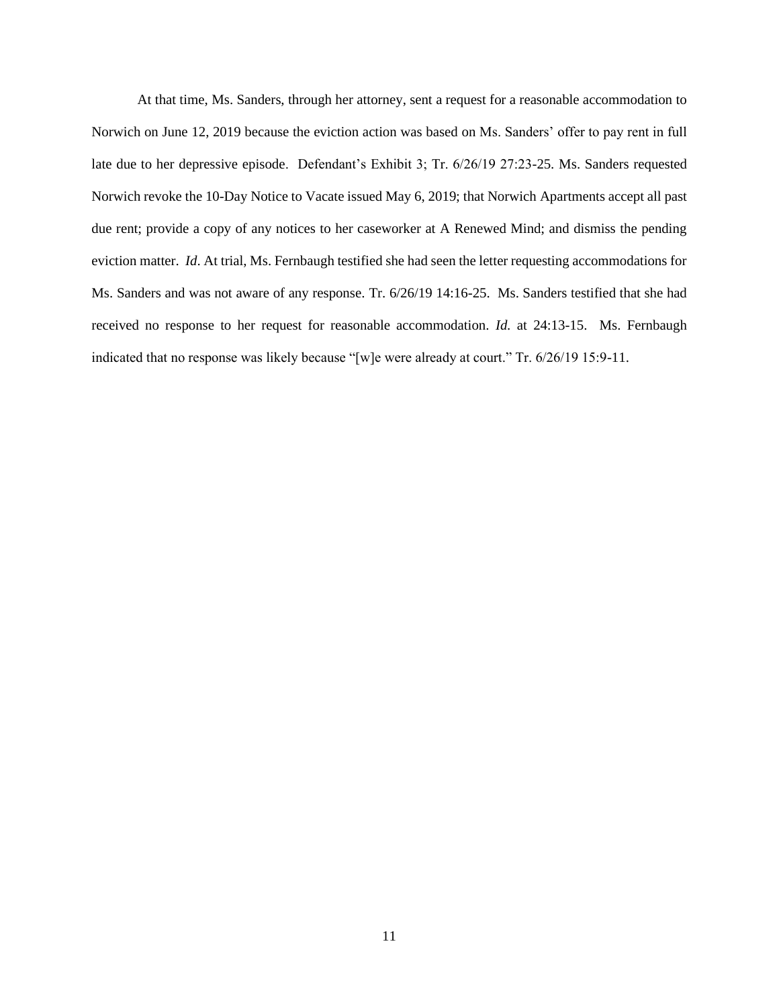At that time, Ms. Sanders, through her attorney, sent a request for a reasonable accommodation to Norwich on June 12, 2019 because the eviction action was based on Ms. Sanders' offer to pay rent in full late due to her depressive episode. Defendant's Exhibit 3; Tr. 6/26/19 27:23-25. Ms. Sanders requested Norwich revoke the 10-Day Notice to Vacate issued May 6, 2019; that Norwich Apartments accept all past due rent; provide a copy of any notices to her caseworker at A Renewed Mind; and dismiss the pending eviction matter. *Id*. At trial, Ms. Fernbaugh testified she had seen the letter requesting accommodations for Ms. Sanders and was not aware of any response. Tr. 6/26/19 14:16-25. Ms. Sanders testified that she had received no response to her request for reasonable accommodation. *Id.* at 24:13-15. Ms. Fernbaugh indicated that no response was likely because "[w]e were already at court." Tr. 6/26/19 15:9-11.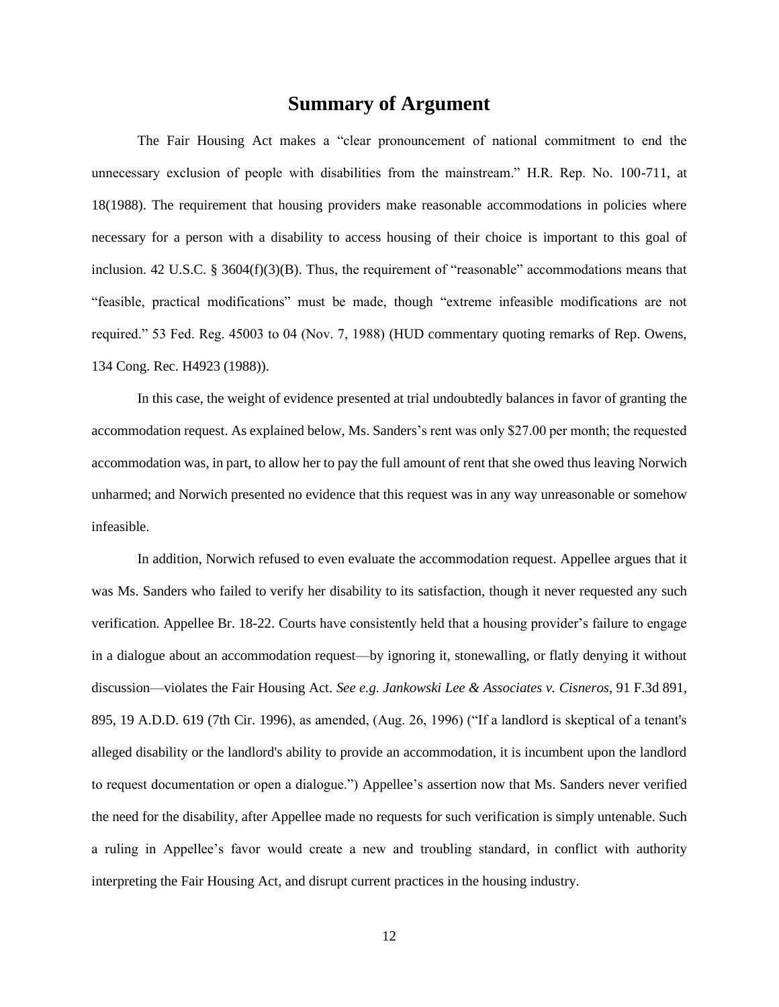### **Summary of Argument**

<span id="page-11-0"></span>The Fair Housing Act makes a "clear pronouncement of national commitment to end the unnecessary exclusion of people with disabilities from the mainstream." H.R. Rep. No. 100-711, at 18(1988). The requirement that housing providers make reasonable accommodations in policies where necessary for a person with a disability to access housing of their choice is important to this goal of inclusion. 42 U.S.C. §  $3604(f)(3)(B)$ . Thus, the requirement of "reasonable" accommodations means that "feasible, practical modifications" must be made, though "extreme infeasible modifications are not required." 53 Fed. Reg. 45003 to 04 (Nov. 7, 1988) (HUD commentary quoting remarks of Rep. Owens, 134 Cong. Rec. H4923 (1988)).

In this case, the weight of evidence presented at trial undoubtedly balances in favor of granting the accommodation request. As explained below, Ms. Sanders's rent was only \$27.00 per month; the requested accommodation was, in part, to allow her to pay the full amount of rent that she owed thus leaving Norwich unharmed; and Norwich presented no evidence that this request was in any way unreasonable or somehow infeasible.

In addition, Norwich refused to even evaluate the accommodation request. Appellee argues that it was Ms. Sanders who failed to verify her disability to its satisfaction, though it never requested any such verification. Appellee Br. 18-22. Courts have consistently held that a housing provider's failure to engage in a dialogue about an accommodation request—by ignoring it, stonewalling, or flatly denying it without discussion—violates the Fair Housing Act. *See e.g. Jankowski Lee & Associates v. Cisneros*, 91 F.3d 891, 895, 19 A.D.D. 619 (7th Cir. 1996), as amended, (Aug. 26, 1996) ("If a landlord is skeptical of a tenant's alleged disability or the landlord's ability to provide an accommodation, it is incumbent upon the landlord to request documentation or open a dialogue.") Appellee's assertion now that Ms. Sanders never verified the need for the disability, after Appellee made no requests for such verification is simply untenable. Such a ruling in Appellee's favor would create a new and troubling standard, in conflict with authority interpreting the Fair Housing Act, and disrupt current practices in the housing industry.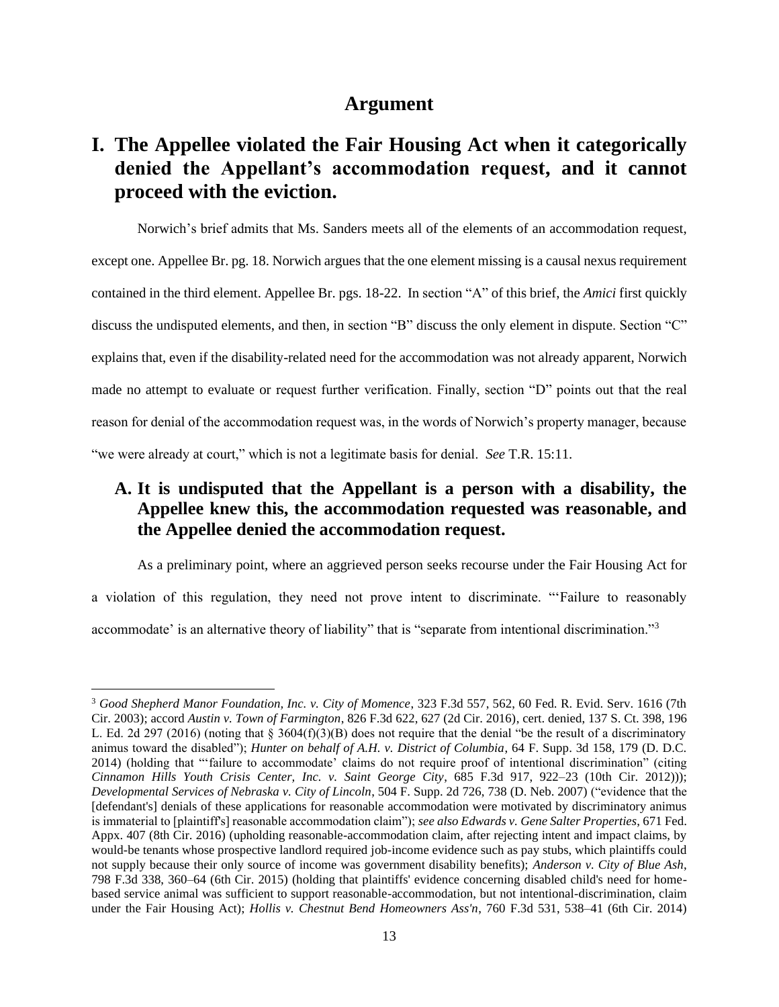### **Argument**

# <span id="page-12-1"></span><span id="page-12-0"></span>**I. The Appellee violated the Fair Housing Act when it categorically denied the Appellant's accommodation request, and it cannot proceed with the eviction.**

Norwich's brief admits that Ms. Sanders meets all of the elements of an accommodation request, except one. Appellee Br. pg. 18. Norwich argues that the one element missing is a causal nexus requirement contained in the third element. Appellee Br. pgs. 18-22. In section "A" of this brief, the *Amici* first quickly discuss the undisputed elements, and then, in section "B" discuss the only element in dispute. Section "C" explains that, even if the disability-related need for the accommodation was not already apparent, Norwich made no attempt to evaluate or request further verification. Finally, section "D" points out that the real reason for denial of the accommodation request was, in the words of Norwich's property manager, because "we were already at court," which is not a legitimate basis for denial. *See* T.R. 15:11.

## <span id="page-12-2"></span>**A. It is undisputed that the Appellant is a person with a disability, the Appellee knew this, the accommodation requested was reasonable, and the Appellee denied the accommodation request.**

As a preliminary point, where an aggrieved person seeks recourse under the Fair Housing Act for a violation of this regulation, they need not prove intent to discriminate. "'Failure to reasonably accommodate' is an alternative theory of liability" that is "separate from intentional discrimination."<sup>3</sup>

<sup>3</sup> *Good Shepherd Manor Foundation, Inc. v. City of Momence*, 323 F.3d 557, 562, 60 Fed. R. Evid. Serv. 1616 (7th Cir. 2003); accord *Austin v. Town of Farmington*, 826 F.3d 622, 627 (2d Cir. 2016), cert. denied, 137 S. Ct. 398, 196 L. Ed. 2d 297 (2016) (noting that § 3604(f)(3)(B) does not require that the denial "be the result of a discriminatory animus toward the disabled"); *Hunter on behalf of A.H. v. District of Columbia*, 64 F. Supp. 3d 158, 179 (D. D.C. 2014) (holding that "'failure to accommodate' claims do not require proof of intentional discrimination" (citing *Cinnamon Hills Youth Crisis Center, Inc. v. Saint George City*, 685 F.3d 917, 922–23 (10th Cir. 2012))); *Developmental Services of Nebraska v. City of Lincoln*, 504 F. Supp. 2d 726, 738 (D. Neb. 2007) ("evidence that the [defendant's] denials of these applications for reasonable accommodation were motivated by discriminatory animus is immaterial to [plaintiff's] reasonable accommodation claim"); *see also Edwards v. Gene Salter Properties*, 671 Fed. Appx. 407 (8th Cir. 2016) (upholding reasonable-accommodation claim, after rejecting intent and impact claims, by would-be tenants whose prospective landlord required job-income evidence such as pay stubs, which plaintiffs could not supply because their only source of income was government disability benefits); *Anderson v. City of Blue Ash*, 798 F.3d 338, 360–64 (6th Cir. 2015) (holding that plaintiffs' evidence concerning disabled child's need for homebased service animal was sufficient to support reasonable-accommodation, but not intentional-discrimination, claim under the Fair Housing Act); *Hollis v. Chestnut Bend Homeowners Ass'n*, 760 F.3d 531, 538–41 (6th Cir. 2014)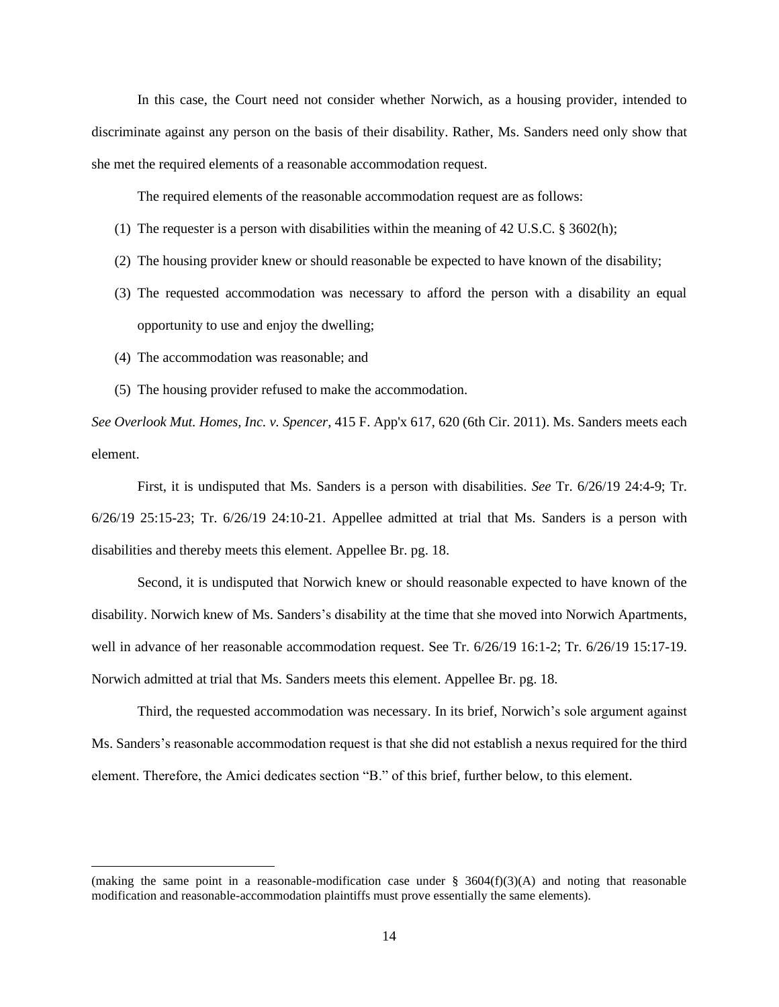In this case, the Court need not consider whether Norwich, as a housing provider, intended to discriminate against any person on the basis of their disability. Rather, Ms. Sanders need only show that she met the required elements of a reasonable accommodation request.

The required elements of the reasonable accommodation request are as follows:

- (1) The requester is a person with disabilities within the meaning of 42 U.S.C.  $\S 3602(h)$ ;
- (2) The housing provider knew or should reasonable be expected to have known of the disability;
- (3) The requested accommodation was necessary to afford the person with a disability an equal opportunity to use and enjoy the dwelling;
- (4) The accommodation was reasonable; and
- (5) The housing provider refused to make the accommodation.

*See Overlook Mut. Homes, Inc. v. Spencer*, 415 F. App'x 617, 620 (6th Cir. 2011). Ms. Sanders meets each element.

First, it is undisputed that Ms. Sanders is a person with disabilities. *See* Tr. 6/26/19 24:4-9; Tr. 6/26/19 25:15-23; Tr. 6/26/19 24:10-21. Appellee admitted at trial that Ms. Sanders is a person with disabilities and thereby meets this element. Appellee Br. pg. 18.

Second, it is undisputed that Norwich knew or should reasonable expected to have known of the disability. Norwich knew of Ms. Sanders's disability at the time that she moved into Norwich Apartments, well in advance of her reasonable accommodation request. See Tr. 6/26/19 16:1-2; Tr. 6/26/19 15:17-19. Norwich admitted at trial that Ms. Sanders meets this element. Appellee Br. pg. 18.

Third, the requested accommodation was necessary. In its brief, Norwich's sole argument against Ms. Sanders's reasonable accommodation request is that she did not establish a nexus required for the third element. Therefore, the Amici dedicates section "B." of this brief, further below, to this element.

<sup>(</sup>making the same point in a reasonable-modification case under  $\S$  3604(f)(3)(A) and noting that reasonable modification and reasonable-accommodation plaintiffs must prove essentially the same elements).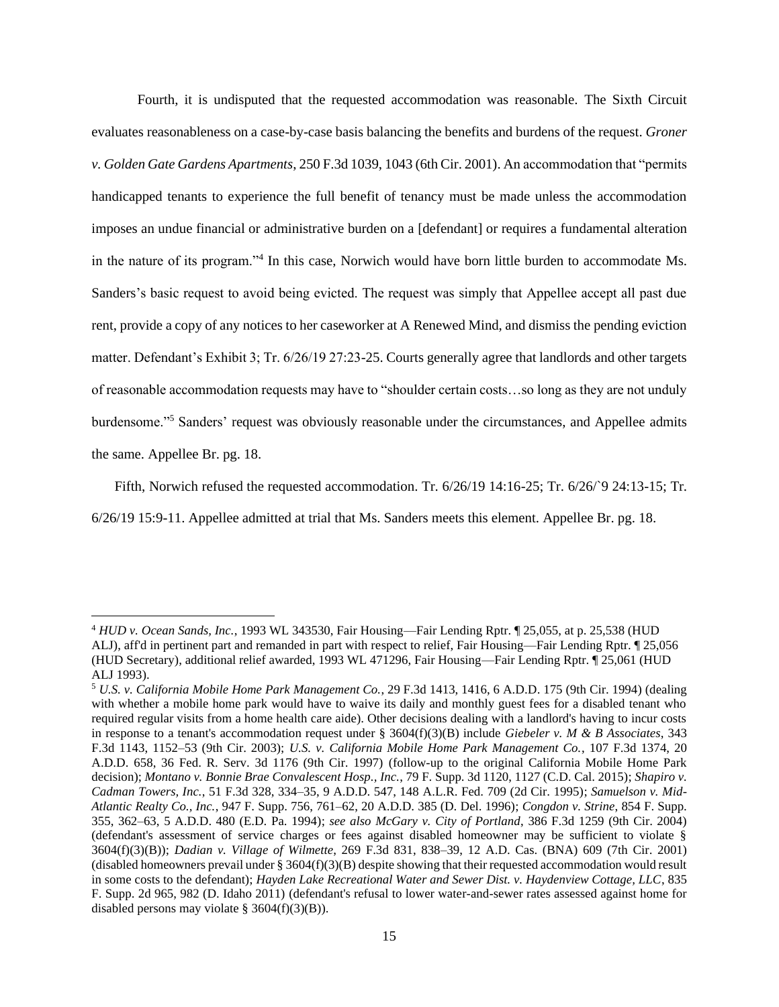Fourth, it is undisputed that the requested accommodation was reasonable. The Sixth Circuit evaluates reasonableness on a case-by-case basis balancing the benefits and burdens of the request. *Groner v. Golden Gate Gardens Apartments*, 250 F.3d 1039, 1043 (6th Cir. 2001). An accommodation that "permits handicapped tenants to experience the full benefit of tenancy must be made unless the accommodation imposes an undue financial or administrative burden on a [defendant] or requires a fundamental alteration in the nature of its program."<sup>4</sup> In this case, Norwich would have born little burden to accommodate Ms. Sanders's basic request to avoid being evicted. The request was simply that Appellee accept all past due rent, provide a copy of any notices to her caseworker at A Renewed Mind, and dismiss the pending eviction matter. Defendant's Exhibit 3; Tr. 6/26/19 27:23-25. Courts generally agree that landlords and other targets of reasonable accommodation requests may have to "shoulder certain costs…so long as they are not unduly burdensome."<sup>5</sup> Sanders' request was obviously reasonable under the circumstances, and Appellee admits the same. Appellee Br. pg. 18.

Fifth, Norwich refused the requested accommodation. Tr.  $6/26/19$  14:16-25; Tr.  $6/26/9$  24:13-15; Tr.

6/26/19 15:9-11. Appellee admitted at trial that Ms. Sanders meets this element. Appellee Br. pg. 18.

<sup>4</sup> *HUD v. Ocean Sands, Inc.*, 1993 WL 343530, Fair Housing—Fair Lending Rptr. ¶ 25,055, at p. 25,538 (HUD ALJ), aff'd in pertinent part and remanded in part with respect to relief, Fair Housing—Fair Lending Rptr. ¶ 25,056 (HUD Secretary), additional relief awarded, 1993 WL 471296, Fair Housing—Fair Lending Rptr. ¶ 25,061 (HUD ALJ 1993).

<sup>5</sup> *U.S. v. California Mobile Home Park Management Co.*, 29 F.3d 1413, 1416, 6 A.D.D. 175 (9th Cir. 1994) (dealing with whether a mobile home park would have to waive its daily and monthly guest fees for a disabled tenant who required regular visits from a home health care aide). Other decisions dealing with a landlord's having to incur costs in response to a tenant's accommodation request under § 3604(f)(3)(B) include *Giebeler v. M & B Associates*, 343 F.3d 1143, 1152–53 (9th Cir. 2003); *U.S. v. California Mobile Home Park Management Co.*, 107 F.3d 1374, 20 A.D.D. 658, 36 Fed. R. Serv. 3d 1176 (9th Cir. 1997) (follow-up to the original California Mobile Home Park decision); *Montano v. Bonnie Brae Convalescent Hosp., Inc.*, 79 F. Supp. 3d 1120, 1127 (C.D. Cal. 2015); *Shapiro v. Cadman Towers, Inc.*, 51 F.3d 328, 334–35, 9 A.D.D. 547, 148 A.L.R. Fed. 709 (2d Cir. 1995); *Samuelson v. Mid-Atlantic Realty Co., Inc.*, 947 F. Supp. 756, 761–62, 20 A.D.D. 385 (D. Del. 1996); *Congdon v. Strine*, 854 F. Supp. 355, 362–63, 5 A.D.D. 480 (E.D. Pa. 1994); *see also McGary v. City of Portland*, 386 F.3d 1259 (9th Cir. 2004) (defendant's assessment of service charges or fees against disabled homeowner may be sufficient to violate § 3604(f)(3)(B)); *Dadian v. Village of Wilmette*, 269 F.3d 831, 838–39, 12 A.D. Cas. (BNA) 609 (7th Cir. 2001) (disabled homeowners prevail under § 3604(f)(3)(B) despite showing that their requested accommodation would result in some costs to the defendant); *Hayden Lake Recreational Water and Sewer Dist. v. Haydenview Cottage, LLC*, 835 F. Supp. 2d 965, 982 (D. Idaho 2011) (defendant's refusal to lower water-and-sewer rates assessed against home for disabled persons may violate § 3604(f)(3)(B)).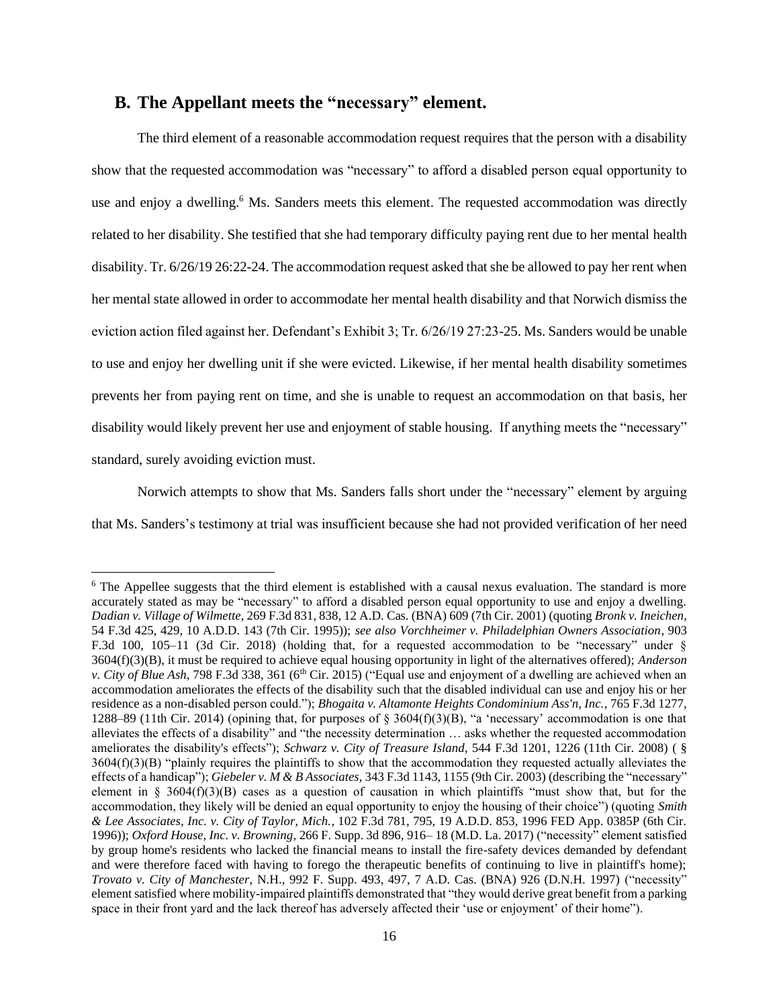### <span id="page-15-0"></span>**B. The Appellant meets the "necessary" element.**

The third element of a reasonable accommodation request requires that the person with a disability show that the requested accommodation was "necessary" to afford a disabled person equal opportunity to use and enjoy a dwelling.<sup>6</sup> Ms. Sanders meets this element. The requested accommodation was directly related to her disability. She testified that she had temporary difficulty paying rent due to her mental health disability. Tr. 6/26/19 26:22-24. The accommodation request asked that she be allowed to pay her rent when her mental state allowed in order to accommodate her mental health disability and that Norwich dismiss the eviction action filed against her. Defendant's Exhibit 3; Tr. 6/26/19 27:23-25. Ms. Sanders would be unable to use and enjoy her dwelling unit if she were evicted. Likewise, if her mental health disability sometimes prevents her from paying rent on time, and she is unable to request an accommodation on that basis, her disability would likely prevent her use and enjoyment of stable housing. If anything meets the "necessary" standard, surely avoiding eviction must.

Norwich attempts to show that Ms. Sanders falls short under the "necessary" element by arguing that Ms. Sanders's testimony at trial was insufficient because she had not provided verification of her need

<sup>&</sup>lt;sup>6</sup> The Appellee suggests that the third element is established with a causal nexus evaluation. The standard is more accurately stated as may be "necessary" to afford a disabled person equal opportunity to use and enjoy a dwelling. *Dadian v. Village of Wilmette*, 269 F.3d 831, 838, 12 A.D. Cas. (BNA) 609 (7th Cir. 2001) (quoting *Bronk v. Ineichen*, 54 F.3d 425, 429, 10 A.D.D. 143 (7th Cir. 1995)); *see also Vorchheimer v. Philadelphian Owners Association*, 903 F.3d 100, 105–11 (3d Cir. 2018) (holding that, for a requested accommodation to be "necessary" under § 3604(f)(3)(B), it must be required to achieve equal housing opportunity in light of the alternatives offered); *Anderson v. City of Blue Ash*, 798 F.3d 338, 361 (6<sup>th</sup> Cir. 2015) ("Equal use and enjoyment of a dwelling are achieved when an accommodation ameliorates the effects of the disability such that the disabled individual can use and enjoy his or her residence as a non-disabled person could."); *Bhogaita v. Altamonte Heights Condominium Ass'n, Inc.*, 765 F.3d 1277, 1288–89 (11th Cir. 2014) (opining that, for purposes of  $\S$  3604(f)(3)(B), "a 'necessary' accommodation is one that alleviates the effects of a disability" and "the necessity determination … asks whether the requested accommodation ameliorates the disability's effects"); *Schwarz v. City of Treasure Island*, 544 F.3d 1201, 1226 (11th Cir. 2008) ( §  $3604(f)(3)(B)$  "plainly requires the plaintiffs to show that the accommodation they requested actually alleviates the effects of a handicap"); *Giebeler v. M & B Associates*, 343 F.3d 1143, 1155 (9th Cir. 2003) (describing the "necessary" element in  $\S$  3604(f)(3)(B) cases as a question of causation in which plaintiffs "must show that, but for the accommodation, they likely will be denied an equal opportunity to enjoy the housing of their choice") (quoting *Smith & Lee Associates, Inc. v. City of Taylor, Mich.*, 102 F.3d 781, 795, 19 A.D.D. 853, 1996 FED App. 0385P (6th Cir. 1996)); *Oxford House, Inc. v. Browning*, 266 F. Supp. 3d 896, 916– 18 (M.D. La. 2017) ("necessity" element satisfied by group home's residents who lacked the financial means to install the fire-safety devices demanded by defendant and were therefore faced with having to forego the therapeutic benefits of continuing to live in plaintiff's home); *Trovato v. City of Manchester*, N.H., 992 F. Supp. 493, 497, 7 A.D. Cas. (BNA) 926 (D.N.H. 1997) ("necessity" element satisfied where mobility-impaired plaintiffs demonstrated that "they would derive great benefit from a parking space in their front yard and the lack thereof has adversely affected their 'use or enjoyment' of their home").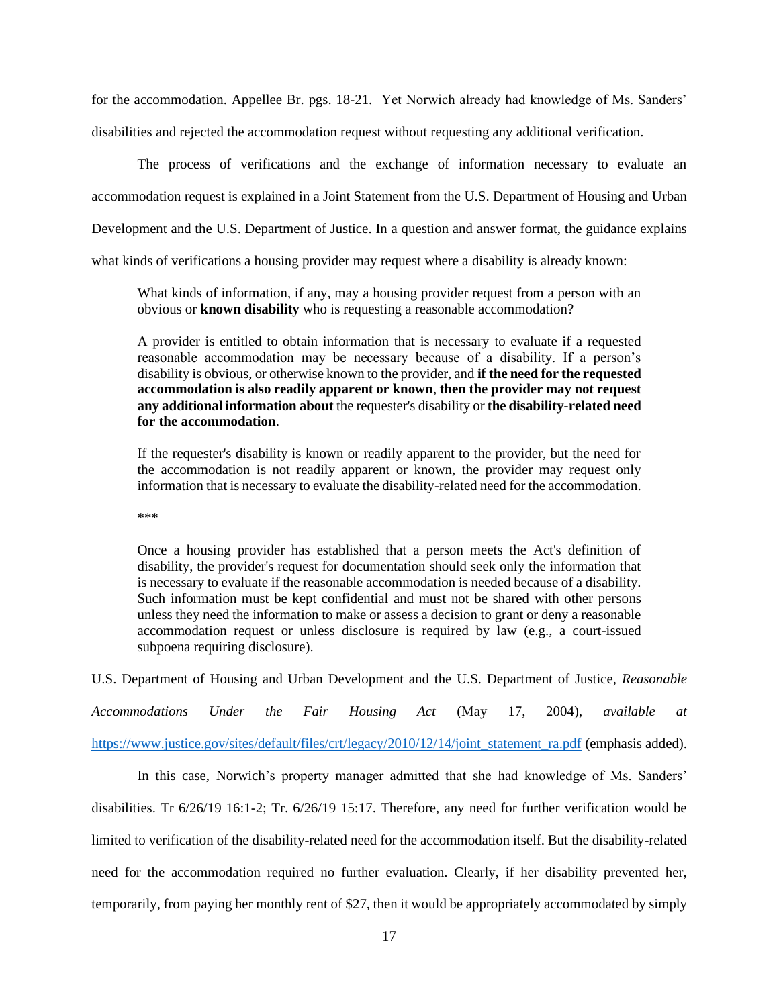for the accommodation. Appellee Br. pgs. 18-21. Yet Norwich already had knowledge of Ms. Sanders' disabilities and rejected the accommodation request without requesting any additional verification.

The process of verifications and the exchange of information necessary to evaluate an accommodation request is explained in a Joint Statement from the U.S. Department of Housing and Urban Development and the U.S. Department of Justice. In a question and answer format, the guidance explains what kinds of verifications a housing provider may request where a disability is already known:

What kinds of information, if any, may a housing provider request from a person with an obvious or **known disability** who is requesting a reasonable accommodation?

A provider is entitled to obtain information that is necessary to evaluate if a requested reasonable accommodation may be necessary because of a disability. If a person's disability is obvious, or otherwise known to the provider, and **if the need for the requested accommodation is also readily apparent or known**, **then the provider may not request any additional information about** the requester's disability or **the disability-related need for the accommodation**.

If the requester's disability is known or readily apparent to the provider, but the need for the accommodation is not readily apparent or known, the provider may request only information that is necessary to evaluate the disability-related need for the accommodation.

\*\*\*

Once a housing provider has established that a person meets the Act's definition of disability, the provider's request for documentation should seek only the information that is necessary to evaluate if the reasonable accommodation is needed because of a disability. Such information must be kept confidential and must not be shared with other persons unless they need the information to make or assess a decision to grant or deny a reasonable accommodation request or unless disclosure is required by law (e.g., a court-issued subpoena requiring disclosure).

U.S. Department of Housing and Urban Development and the U.S. Department of Justice, *Reasonable* 

*Accommodations Under the Fair Housing Act* (May 17, 2004), *available at* [https://www.justice.gov/sites/default/files/crt/legacy/2010/12/14/joint\\_statement\\_ra.pdf](https://www.justice.gov/sites/default/files/crt/legacy/2010/12/14/joint_statement_ra.pdf) (emphasis added).

In this case, Norwich's property manager admitted that she had knowledge of Ms. Sanders' disabilities. Tr 6/26/19 16:1-2; Tr. 6/26/19 15:17. Therefore, any need for further verification would be limited to verification of the disability-related need for the accommodation itself. But the disability-related need for the accommodation required no further evaluation. Clearly, if her disability prevented her, temporarily, from paying her monthly rent of \$27, then it would be appropriately accommodated by simply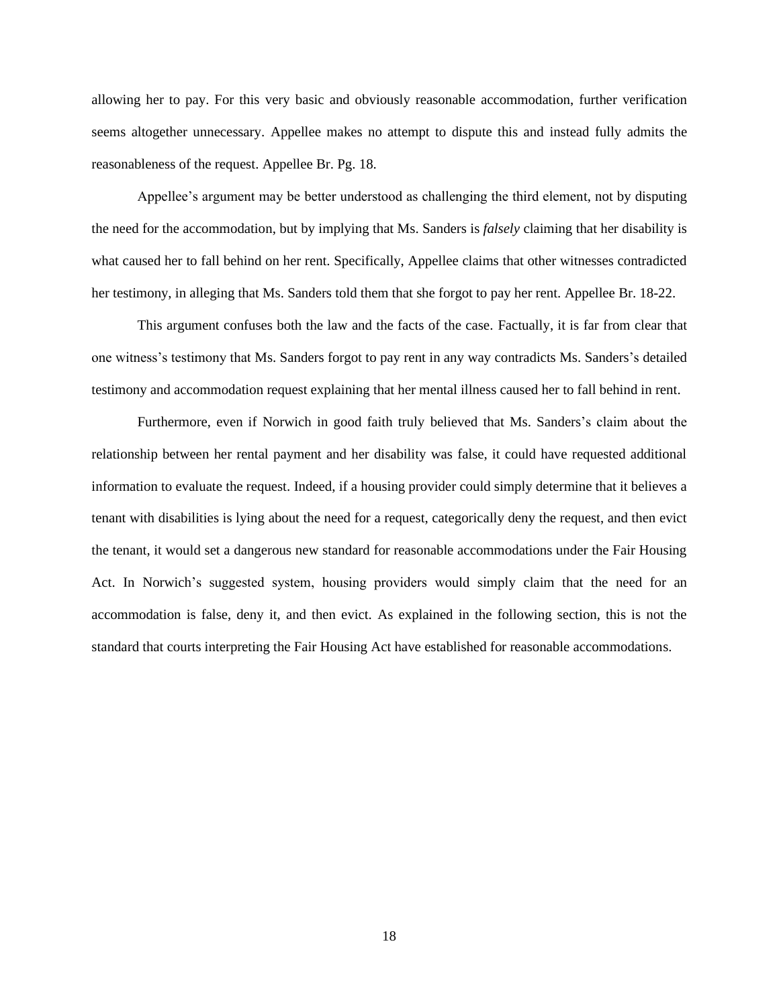allowing her to pay. For this very basic and obviously reasonable accommodation, further verification seems altogether unnecessary. Appellee makes no attempt to dispute this and instead fully admits the reasonableness of the request. Appellee Br. Pg. 18.

Appellee's argument may be better understood as challenging the third element, not by disputing the need for the accommodation, but by implying that Ms. Sanders is *falsely* claiming that her disability is what caused her to fall behind on her rent. Specifically, Appellee claims that other witnesses contradicted her testimony, in alleging that Ms. Sanders told them that she forgot to pay her rent. Appellee Br. 18-22.

This argument confuses both the law and the facts of the case. Factually, it is far from clear that one witness's testimony that Ms. Sanders forgot to pay rent in any way contradicts Ms. Sanders's detailed testimony and accommodation request explaining that her mental illness caused her to fall behind in rent.

Furthermore, even if Norwich in good faith truly believed that Ms. Sanders's claim about the relationship between her rental payment and her disability was false, it could have requested additional information to evaluate the request. Indeed, if a housing provider could simply determine that it believes a tenant with disabilities is lying about the need for a request, categorically deny the request, and then evict the tenant, it would set a dangerous new standard for reasonable accommodations under the Fair Housing Act. In Norwich's suggested system, housing providers would simply claim that the need for an accommodation is false, deny it, and then evict. As explained in the following section, this is not the standard that courts interpreting the Fair Housing Act have established for reasonable accommodations.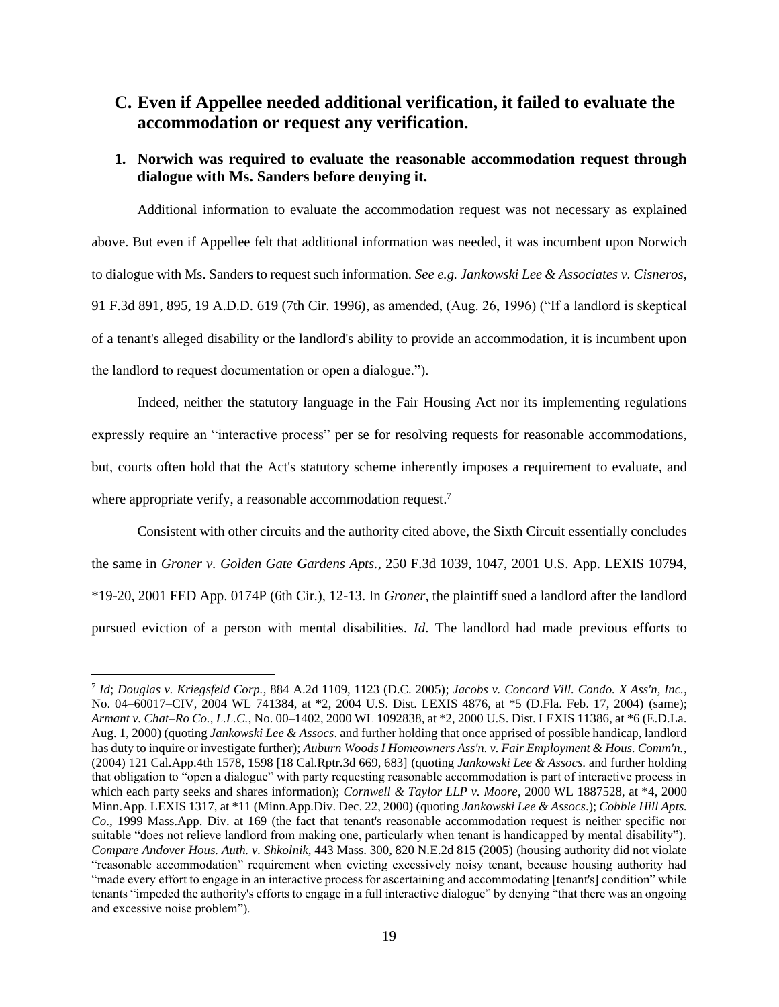## <span id="page-18-0"></span>**C. Even if Appellee needed additional verification, it failed to evaluate the accommodation or request any verification.**

### <span id="page-18-1"></span>**1. Norwich was required to evaluate the reasonable accommodation request through dialogue with Ms. Sanders before denying it.**

Additional information to evaluate the accommodation request was not necessary as explained above. But even if Appellee felt that additional information was needed, it was incumbent upon Norwich to dialogue with Ms. Sanders to request such information. *See e.g. Jankowski Lee & Associates v. Cisneros*, 91 F.3d 891, 895, 19 A.D.D. 619 (7th Cir. 1996), as amended, (Aug. 26, 1996) ("If a landlord is skeptical of a tenant's alleged disability or the landlord's ability to provide an accommodation, it is incumbent upon the landlord to request documentation or open a dialogue.").

Indeed, neither the statutory language in the Fair Housing Act nor its implementing regulations expressly require an "interactive process" per se for resolving requests for reasonable accommodations, but, courts often hold that the Act's statutory scheme inherently imposes a requirement to evaluate, and where appropriate verify, a reasonable accommodation request.<sup>7</sup>

Consistent with other circuits and the authority cited above, the Sixth Circuit essentially concludes the same in *Groner v. Golden Gate Gardens Apts.*, 250 F.3d 1039, 1047, 2001 U.S. App. LEXIS 10794, \*19-20, 2001 FED App. 0174P (6th Cir.), 12-13. In *Groner*, the plaintiff sued a landlord after the landlord pursued eviction of a person with mental disabilities. *Id*. The landlord had made previous efforts to

<sup>7</sup> *Id*; *Douglas v. Kriegsfeld Corp.*, 884 A.2d 1109, 1123 (D.C. 2005); *Jacobs v. Concord Vill. Condo. X Ass'n, Inc.*, No. 04–60017–CIV, 2004 WL 741384, at \*2, 2004 U.S. Dist. LEXIS 4876, at \*5 (D.Fla. Feb. 17, 2004) (same); *Armant v. Chat–Ro Co., L.L.C.*, No. 00–1402, 2000 WL 1092838, at \*2, 2000 U.S. Dist. LEXIS 11386, at \*6 (E.D.La. Aug. 1, 2000) (quoting *Jankowski Lee & Assocs*. and further holding that once apprised of possible handicap, landlord has duty to inquire or investigate further); *Auburn Woods I Homeowners Ass'n. v. Fair Employment & Hous. Comm'n.*, (2004) 121 Cal.App.4th 1578, 1598 [18 Cal.Rptr.3d 669, 683] (quoting *Jankowski Lee & Assocs*. and further holding that obligation to "open a dialogue" with party requesting reasonable accommodation is part of interactive process in which each party seeks and shares information); *Cornwell & Taylor LLP v. Moore*, 2000 WL 1887528, at \*4, 2000 Minn.App. LEXIS 1317, at \*11 (Minn.App.Div. Dec. 22, 2000) (quoting *Jankowski Lee & Assocs*.); *Cobble Hill Apts. Co*., 1999 Mass.App. Div. at 169 (the fact that tenant's reasonable accommodation request is neither specific nor suitable "does not relieve landlord from making one, particularly when tenant is handicapped by mental disability"). *Compare Andover Hous. Auth. v. Shkolnik*, 443 Mass. 300, 820 N.E.2d 815 (2005) (housing authority did not violate "reasonable accommodation" requirement when evicting excessively noisy tenant, because housing authority had "made every effort to engage in an interactive process for ascertaining and accommodating [tenant's] condition" while tenants "impeded the authority's efforts to engage in a full interactive dialogue" by denying "that there was an ongoing and excessive noise problem").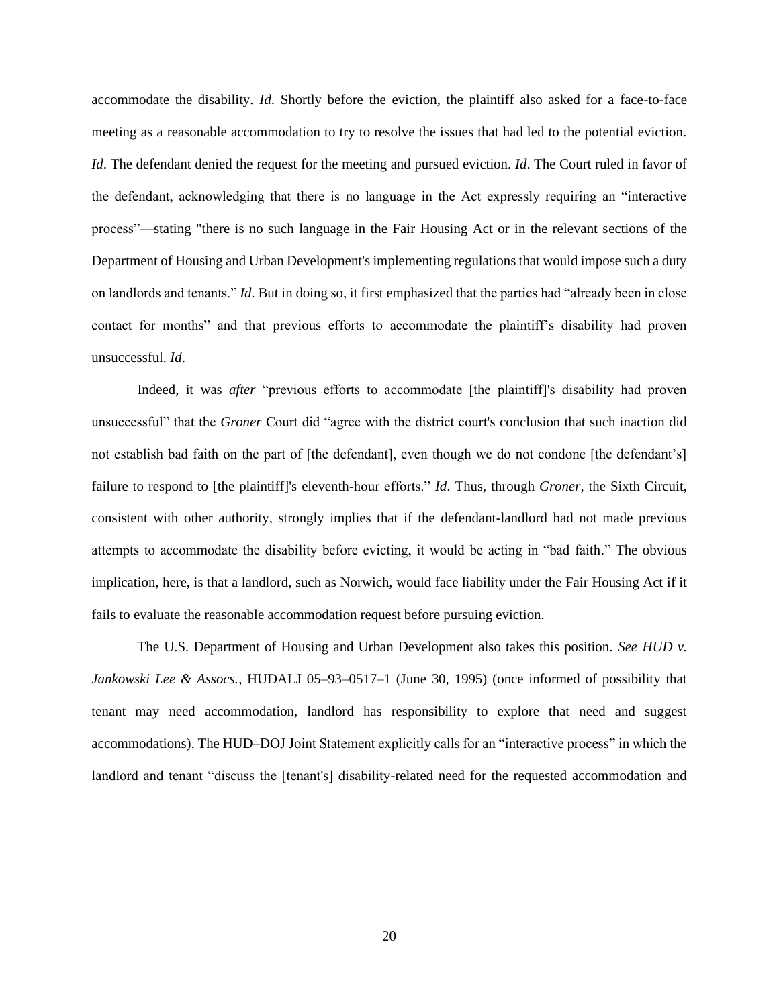accommodate the disability. *Id*. Shortly before the eviction, the plaintiff also asked for a face-to-face meeting as a reasonable accommodation to try to resolve the issues that had led to the potential eviction. *Id*. The defendant denied the request for the meeting and pursued eviction. *Id*. The Court ruled in favor of the defendant, acknowledging that there is no language in the Act expressly requiring an "interactive process"—stating "there is no such language in the Fair Housing Act or in the relevant sections of the Department of Housing and Urban Development's implementing regulations that would impose such a duty on landlords and tenants." *Id*. But in doing so, it first emphasized that the parties had "already been in close contact for months" and that previous efforts to accommodate the plaintiff's disability had proven unsuccessful. *Id*.

Indeed, it was *after* "previous efforts to accommodate [the plaintiff]'s disability had proven unsuccessful" that the *Groner* Court did "agree with the district court's conclusion that such inaction did not establish bad faith on the part of [the defendant], even though we do not condone [the defendant's] failure to respond to [the plaintiff]'s eleventh-hour efforts." *Id*. Thus, through *Groner*, the Sixth Circuit, consistent with other authority, strongly implies that if the defendant-landlord had not made previous attempts to accommodate the disability before evicting, it would be acting in "bad faith." The obvious implication, here, is that a landlord, such as Norwich, would face liability under the Fair Housing Act if it fails to evaluate the reasonable accommodation request before pursuing eviction.

The U.S. Department of Housing and Urban Development also takes this position. *See HUD v. Jankowski Lee & Assocs.*, HUDALJ 05–93–0517–1 (June 30, 1995) (once informed of possibility that tenant may need accommodation, landlord has responsibility to explore that need and suggest accommodations). The HUD–DOJ Joint Statement explicitly calls for an "interactive process" in which the landlord and tenant "discuss the [tenant's] disability-related need for the requested accommodation and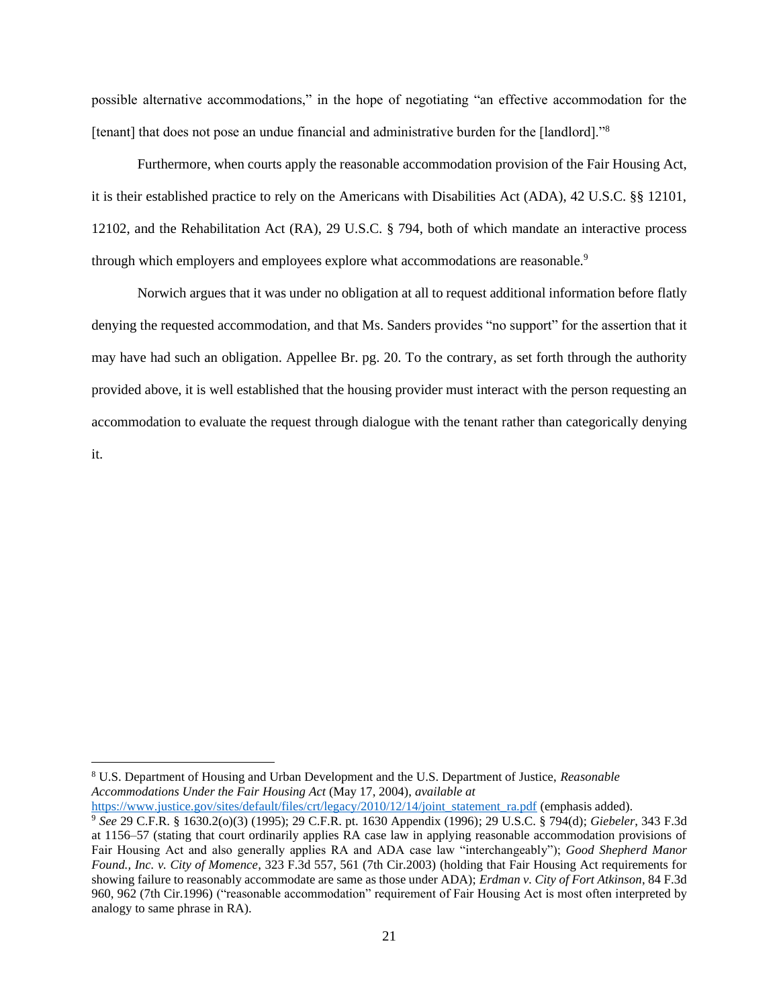possible alternative accommodations," in the hope of negotiating "an effective accommodation for the [tenant] that does not pose an undue financial and administrative burden for the [landlord]."<sup>8</sup>

Furthermore, when courts apply the reasonable accommodation provision of the Fair Housing Act, it is their established practice to rely on the Americans with Disabilities Act (ADA), 42 U.S.C. §§ 12101, 12102, and the Rehabilitation Act (RA), 29 U.S.C. § 794, both of which mandate an interactive process through which employers and employees explore what accommodations are reasonable.<sup>9</sup>

Norwich argues that it was under no obligation at all to request additional information before flatly denying the requested accommodation, and that Ms. Sanders provides "no support" for the assertion that it may have had such an obligation. Appellee Br. pg. 20. To the contrary, as set forth through the authority provided above, it is well established that the housing provider must interact with the person requesting an accommodation to evaluate the request through dialogue with the tenant rather than categorically denying it.

[https://www.justice.gov/sites/default/files/crt/legacy/2010/12/14/joint\\_statement\\_ra.pdf](https://www.justice.gov/sites/default/files/crt/legacy/2010/12/14/joint_statement_ra.pdf) (emphasis added).

<sup>8</sup> U.S. Department of Housing and Urban Development and the U.S. Department of Justice, *Reasonable Accommodations Under the Fair Housing Act* (May 17, 2004), *available at*

<sup>9</sup> *See* 29 C.F.R. § 1630.2(o)(3) (1995); 29 C.F.R. pt. 1630 Appendix (1996); 29 U.S.C. § 794(d); *Giebeler*, 343 F.3d at 1156–57 (stating that court ordinarily applies RA case law in applying reasonable accommodation provisions of Fair Housing Act and also generally applies RA and ADA case law "interchangeably"); *Good Shepherd Manor Found., Inc. v. City of Momence*, 323 F.3d 557, 561 (7th Cir.2003) (holding that Fair Housing Act requirements for showing failure to reasonably accommodate are same as those under ADA); *Erdman v. City of Fort Atkinson*, 84 F.3d 960, 962 (7th Cir.1996) ("reasonable accommodation" requirement of Fair Housing Act is most often interpreted by analogy to same phrase in RA).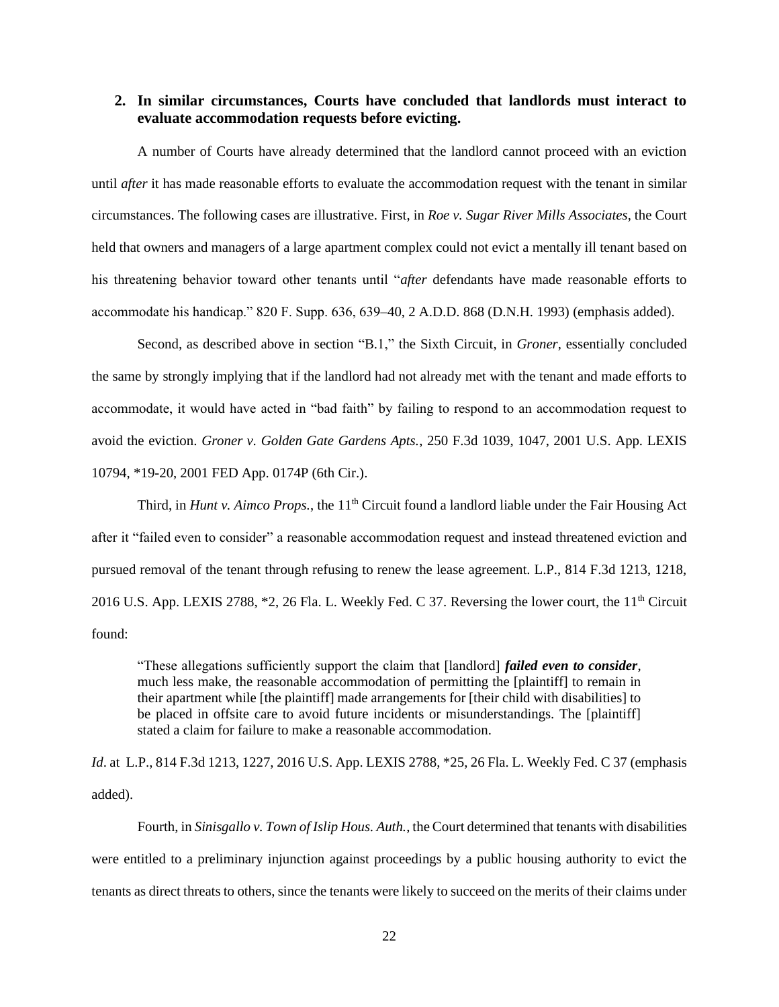#### <span id="page-21-0"></span>**2. In similar circumstances, Courts have concluded that landlords must interact to evaluate accommodation requests before evicting.**

A number of Courts have already determined that the landlord cannot proceed with an eviction until *after* it has made reasonable efforts to evaluate the accommodation request with the tenant in similar circumstances. The following cases are illustrative. First, in *Roe v. Sugar River Mills Associates*, the Court held that owners and managers of a large apartment complex could not evict a mentally ill tenant based on his threatening behavior toward other tenants until "*after* defendants have made reasonable efforts to accommodate his handicap." 820 F. Supp. 636, 639–40, 2 A.D.D. 868 (D.N.H. 1993) (emphasis added).

Second, as described above in section "B.1," the Sixth Circuit, in *Groner*, essentially concluded the same by strongly implying that if the landlord had not already met with the tenant and made efforts to accommodate, it would have acted in "bad faith" by failing to respond to an accommodation request to avoid the eviction. *Groner v. Golden Gate Gardens Apts.*, 250 F.3d 1039, 1047, 2001 U.S. App. LEXIS 10794, \*19-20, 2001 FED App. 0174P (6th Cir.).

Third, in *Hunt v. Aimco Props.*, the  $11<sup>th</sup>$  Circuit found a landlord liable under the Fair Housing Act after it "failed even to consider" a reasonable accommodation request and instead threatened eviction and pursued removal of the tenant through refusing to renew the lease agreement. L.P., 814 F.3d 1213, 1218, 2016 U.S. App. LEXIS 2788, \*2, 26 Fla. L. Weekly Fed. C 37. Reversing the lower court, the 11<sup>th</sup> Circuit found:

"These allegations sufficiently support the claim that [landlord] *failed even to consider*, much less make, the reasonable accommodation of permitting the [plaintiff] to remain in their apartment while [the plaintiff] made arrangements for [their child with disabilities] to be placed in offsite care to avoid future incidents or misunderstandings. The [plaintiff] stated a claim for failure to make a reasonable accommodation.

*Id.* at L.P., 814 F.3d 1213, 1227, 2016 U.S. App. LEXIS 2788, \*25, 26 Fla. L. Weekly Fed. C 37 (emphasis added).

Fourth, in *Sinisgallo v. Town of Islip Hous. Auth.*, the Court determined that tenants with disabilities were entitled to a preliminary injunction against proceedings by a public housing authority to evict the tenants as direct threats to others, since the tenants were likely to succeed on the merits of their claims under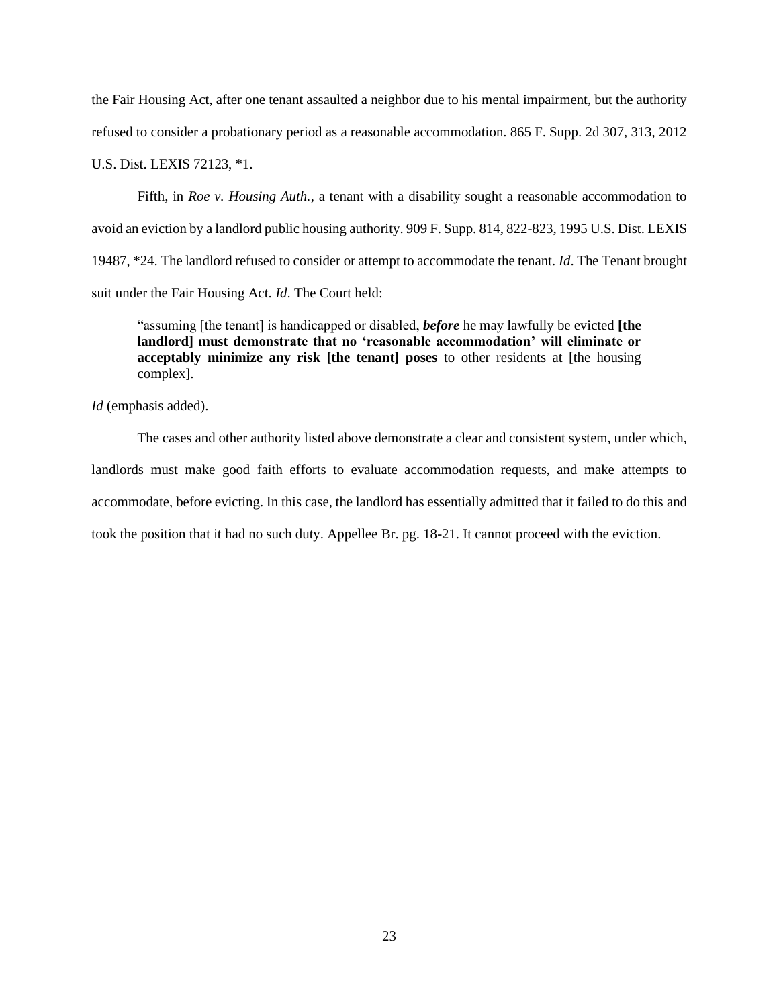the Fair Housing Act, after one tenant assaulted a neighbor due to his mental impairment, but the authority refused to consider a probationary period as a reasonable accommodation. 865 F. Supp. 2d 307, 313, 2012 U.S. Dist. LEXIS 72123, \*1.

Fifth, in *Roe v. Housing Auth.*, a tenant with a disability sought a reasonable accommodation to avoid an eviction by a landlord public housing authority. 909 F. Supp. 814, 822-823, 1995 U.S. Dist. LEXIS 19487, \*24. The landlord refused to consider or attempt to accommodate the tenant. *Id*. The Tenant brought suit under the Fair Housing Act. *Id*. The Court held:

"assuming [the tenant] is handicapped or disabled, *before* he may lawfully be evicted **[the landlord] must demonstrate that no 'reasonable accommodation' will eliminate or acceptably minimize any risk [the tenant] poses** to other residents at [the housing complex].

*Id* (emphasis added).

The cases and other authority listed above demonstrate a clear and consistent system, under which, landlords must make good faith efforts to evaluate accommodation requests, and make attempts to accommodate, before evicting. In this case, the landlord has essentially admitted that it failed to do this and took the position that it had no such duty. Appellee Br. pg. 18-21. It cannot proceed with the eviction.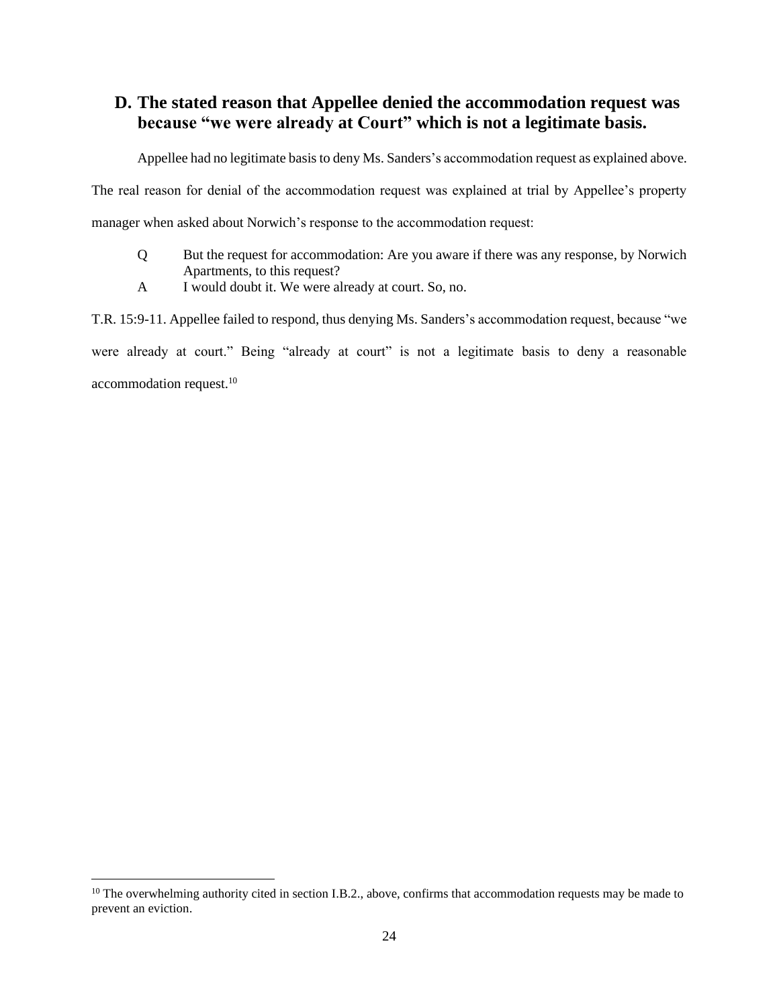# <span id="page-23-0"></span>**D. The stated reason that Appellee denied the accommodation request was because "we were already at Court" which is not a legitimate basis.**

Appellee had no legitimate basis to deny Ms. Sanders's accommodation request as explained above.

The real reason for denial of the accommodation request was explained at trial by Appellee's property

manager when asked about Norwich's response to the accommodation request:

- Q But the request for accommodation: Are you aware if there was any response, by Norwich Apartments, to this request?
- A I would doubt it. We were already at court. So, no.

T.R. 15:9-11. Appellee failed to respond, thus denying Ms. Sanders's accommodation request, because "we were already at court." Being "already at court" is not a legitimate basis to deny a reasonable accommodation request.<sup>10</sup>

 $10$  The overwhelming authority cited in section I.B.2., above, confirms that accommodation requests may be made to prevent an eviction.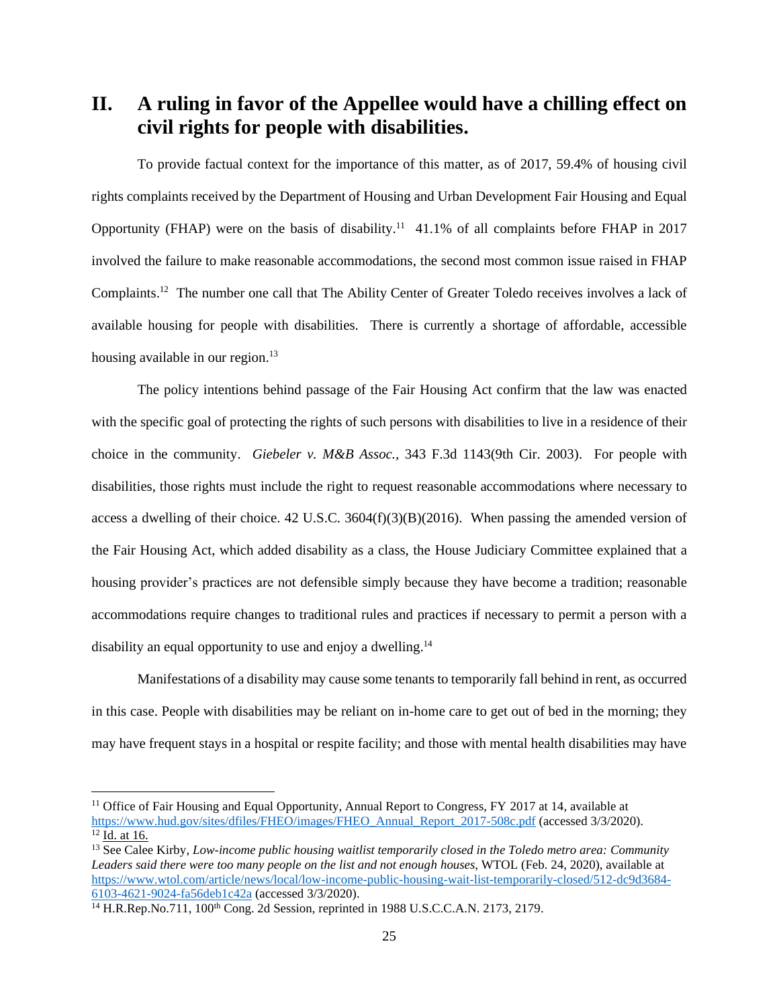<span id="page-24-0"></span>**II. A ruling in favor of the Appellee would have a chilling effect on civil rights for people with disabilities.**

To provide factual context for the importance of this matter, as of 2017, 59.4% of housing civil rights complaints received by the Department of Housing and Urban Development Fair Housing and Equal Opportunity (FHAP) were on the basis of disability.<sup>11</sup> 41.1% of all complaints before FHAP in 2017 involved the failure to make reasonable accommodations, the second most common issue raised in FHAP Complaints.<sup>12</sup> The number one call that The Ability Center of Greater Toledo receives involves a lack of available housing for people with disabilities. There is currently a shortage of affordable, accessible housing available in our region.<sup>13</sup>

The policy intentions behind passage of the Fair Housing Act confirm that the law was enacted with the specific goal of protecting the rights of such persons with disabilities to live in a residence of their choice in the community. *Giebeler v. M&B Assoc.,* 343 F.3d 1143(9th Cir. 2003). For people with disabilities, those rights must include the right to request reasonable accommodations where necessary to access a dwelling of their choice. 42 U.S.C. 3604(f)(3)(B)(2016). When passing the amended version of the Fair Housing Act, which added disability as a class, the House Judiciary Committee explained that a housing provider's practices are not defensible simply because they have become a tradition; reasonable accommodations require changes to traditional rules and practices if necessary to permit a person with a disability an equal opportunity to use and enjoy a dwelling.<sup>14</sup>

Manifestations of a disability may cause some tenants to temporarily fall behind in rent, as occurred in this case. People with disabilities may be reliant on in-home care to get out of bed in the morning; they may have frequent stays in a hospital or respite facility; and those with mental health disabilities may have

 $11$  Office of Fair Housing and Equal Opportunity, Annual Report to Congress, FY 2017 at 14, available at [https://www.hud.gov/sites/dfiles/FHEO/images/FHEO\\_Annual\\_Report\\_2017-508c.pdf](https://www.hud.gov/sites/dfiles/FHEO/images/FHEO_Annual_Report_2017-508c.pdf) (accessed 3/3/2020).  $\overline{12}$  Id. at 16.

<sup>13</sup> See Calee Kirby, *Low-income public housing waitlist temporarily closed in the Toledo metro area: Community Leaders said there were too many people on the list and not enough houses*, WTOL (Feb. 24, 2020), available at [https://www.wtol.com/article/news/local/low-income-public-housing-wait-list-temporarily-closed/512-dc9d3684-](https://www.wtol.com/article/news/local/low-income-public-housing-wait-list-temporarily-closed/512-dc9d3684-6103-4621-9024-fa56deb1c42a) [6103-4621-9024-fa56deb1c42a](https://www.wtol.com/article/news/local/low-income-public-housing-wait-list-temporarily-closed/512-dc9d3684-6103-4621-9024-fa56deb1c42a) (accessed 3/3/2020).

<sup>&</sup>lt;sup>14</sup> H.R.Rep.No.711, 100<sup>th</sup> Cong. 2d Session, reprinted in 1988 U.S.C.C.A.N. 2173, 2179.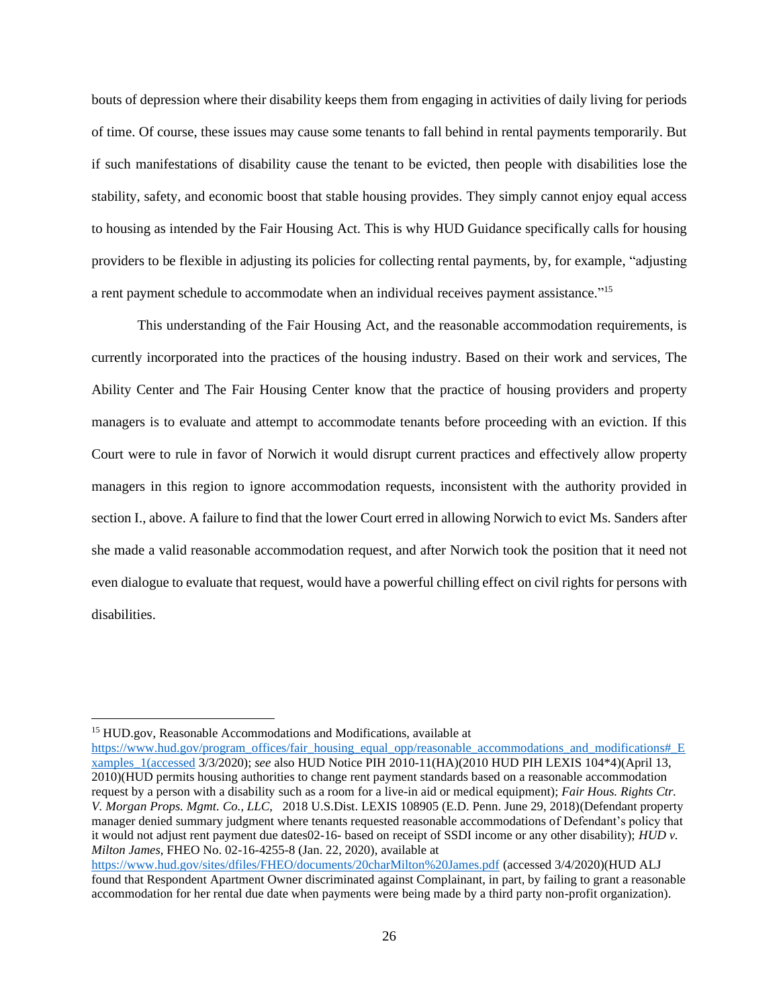bouts of depression where their disability keeps them from engaging in activities of daily living for periods of time. Of course, these issues may cause some tenants to fall behind in rental payments temporarily. But if such manifestations of disability cause the tenant to be evicted, then people with disabilities lose the stability, safety, and economic boost that stable housing provides. They simply cannot enjoy equal access to housing as intended by the Fair Housing Act. This is why HUD Guidance specifically calls for housing providers to be flexible in adjusting its policies for collecting rental payments, by, for example, "adjusting a rent payment schedule to accommodate when an individual receives payment assistance."<sup>15</sup>

This understanding of the Fair Housing Act, and the reasonable accommodation requirements, is currently incorporated into the practices of the housing industry. Based on their work and services, The Ability Center and The Fair Housing Center know that the practice of housing providers and property managers is to evaluate and attempt to accommodate tenants before proceeding with an eviction. If this Court were to rule in favor of Norwich it would disrupt current practices and effectively allow property managers in this region to ignore accommodation requests, inconsistent with the authority provided in section I., above. A failure to find that the lower Court erred in allowing Norwich to evict Ms. Sanders after she made a valid reasonable accommodation request, and after Norwich took the position that it need not even dialogue to evaluate that request, would have a powerful chilling effect on civil rights for persons with disabilities.

<sup>15</sup> HUD.gov, Reasonable Accommodations and Modifications, available at

[https://www.hud.gov/program\\_offices/fair\\_housing\\_equal\\_opp/reasonable\\_accommodations\\_and\\_modifications#\\_E](https://www.hud.gov/program_offices/fair_housing_equal_opp/reasonable_accommodations_and_modifications#_Examples_1(accessed) [xamples\\_1\(accessed](https://www.hud.gov/program_offices/fair_housing_equal_opp/reasonable_accommodations_and_modifications#_Examples_1(accessed) 3/3/2020); *see* also HUD Notice PIH 2010-11(HA)(2010 HUD PIH LEXIS 104\*4)(April 13, 2010)(HUD permits housing authorities to change rent payment standards based on a reasonable accommodation request by a person with a disability such as a room for a live-in aid or medical equipment); *Fair Hous. Rights Ctr. V. Morgan Props. Mgmt. Co., LLC*, 2018 U.S.Dist. LEXIS 108905 (E.D. Penn. June 29, 2018)(Defendant property manager denied summary judgment where tenants requested reasonable accommodations of Defendant's policy that it would not adjust rent payment due dates02-16- based on receipt of SSDI income or any other disability); *HUD v. Milton James*, FHEO No. 02-16-4255-8 (Jan. 22, 2020), available at <https://www.hud.gov/sites/dfiles/FHEO/documents/20charMilton%20James.pdf> (accessed 3/4/2020)(HUD ALJ

found that Respondent Apartment Owner discriminated against Complainant, in part, by failing to grant a reasonable accommodation for her rental due date when payments were being made by a third party non-profit organization).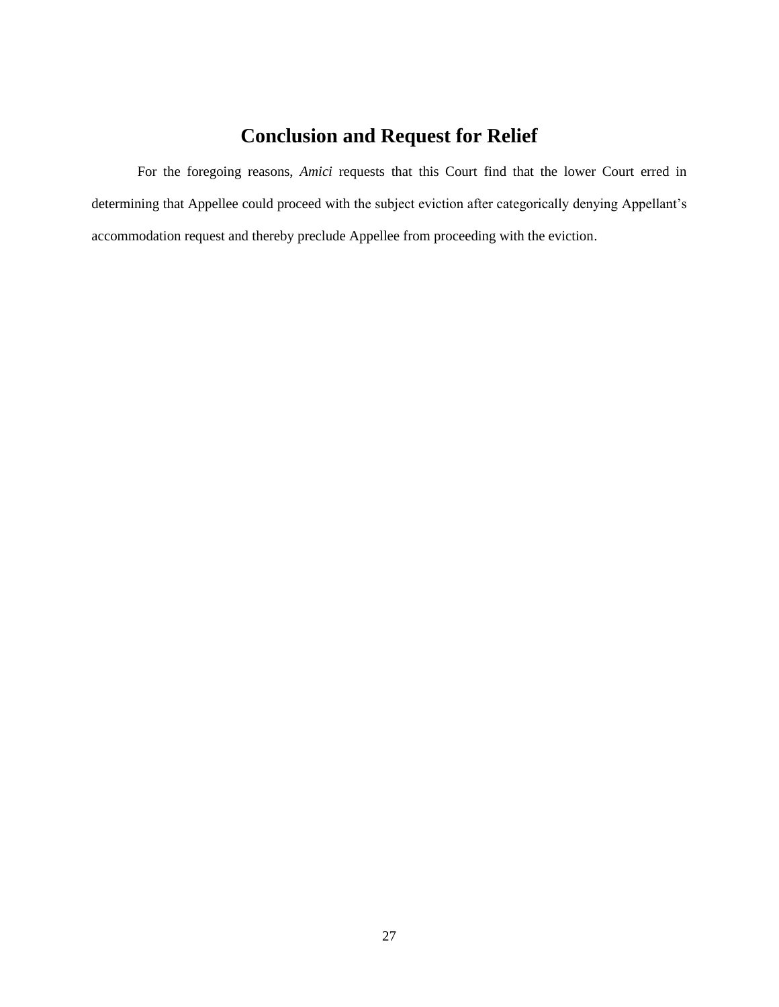# **Conclusion and Request for Relief**

<span id="page-26-0"></span>For the foregoing reasons, *Amici* requests that this Court find that the lower Court erred in determining that Appellee could proceed with the subject eviction after categorically denying Appellant's accommodation request and thereby preclude Appellee from proceeding with the eviction.